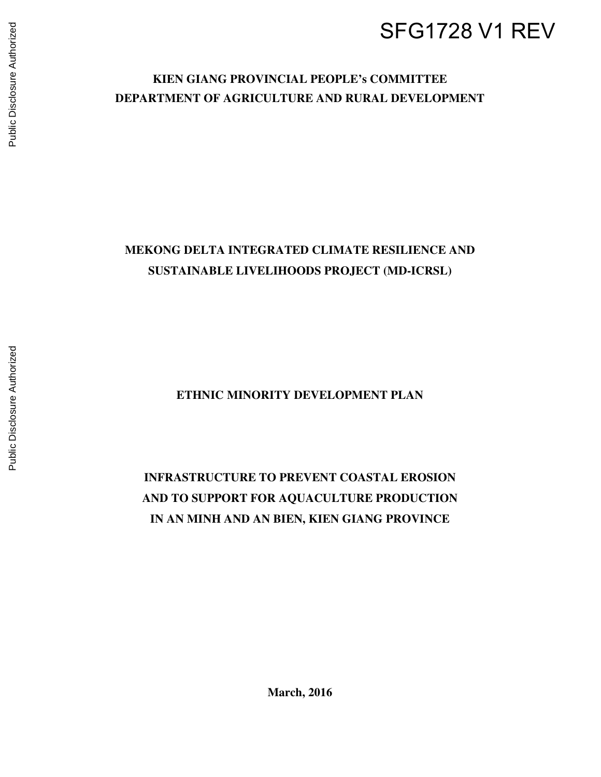# SFG1728 V1 REV

# **KIEN GIANG PROVINCIAL PEOPLE's COMMITTEE DEPARTMENT OF AGRICULTURE AND RURAL DEVELOPMENT**

# **MEKONG DELTA INTEGRATED CLIMATE RESILIENCE AND SUSTAINABLE LIVELIHOODS PROJECT (MD-ICRSL)**

**ETHNIC MINORITY DEVELOPMENT PLAN** 

**INFRASTRUCTURE TO PREVENT COASTAL EROSION AND TO SUPPORT FOR AQUACULTURE PRODUCTION IN AN MINH AND AN BIEN, KIEN GIANG PROVINCE** 

**March, 2016**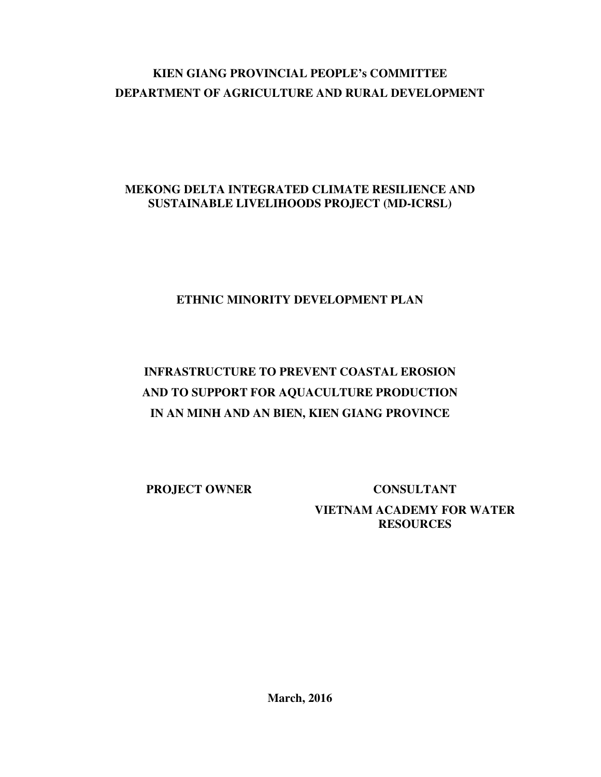# **KIEN GIANG PROVINCIAL PEOPLE's COMMITTEE DEPARTMENT OF AGRICULTURE AND RURAL DEVELOPMENT**

# **MEKONG DELTA INTEGRATED CLIMATE RESILIENCE AND SUSTAINABLE LIVELIHOODS PROJECT (MD-ICRSL)**

# **ETHNIC MINORITY DEVELOPMENT PLAN**

# **INFRASTRUCTURE TO PREVENT COASTAL EROSION AND TO SUPPORT FOR AQUACULTURE PRODUCTION IN AN MINH AND AN BIEN, KIEN GIANG PROVINCE**

**PROJECT OWNER CONSULTANT VIETNAM ACADEMY FOR WATER RESOURCES**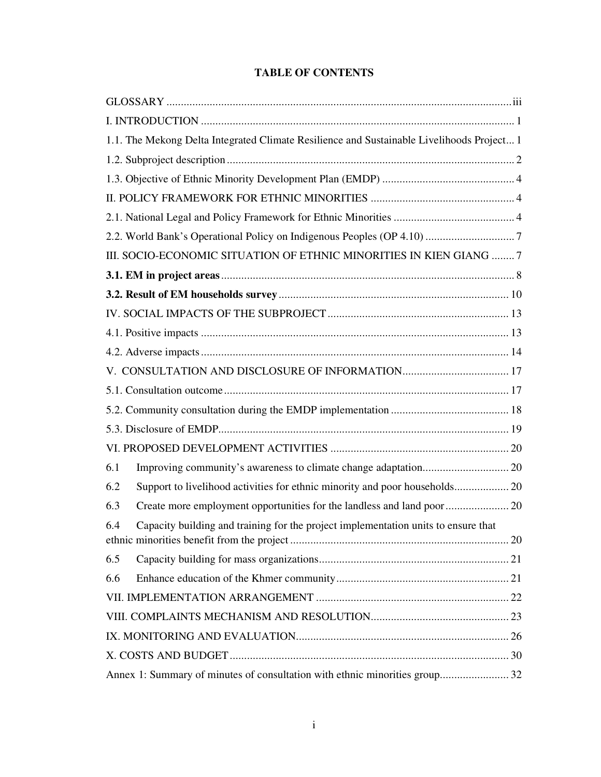# **TABLE OF CONTENTS**

|     | 1.1. The Mekong Delta Integrated Climate Resilience and Sustainable Livelihoods Project 1 |  |
|-----|-------------------------------------------------------------------------------------------|--|
|     |                                                                                           |  |
|     |                                                                                           |  |
|     |                                                                                           |  |
|     |                                                                                           |  |
|     |                                                                                           |  |
|     | III. SOCIO-ECONOMIC SITUATION OF ETHNIC MINORITIES IN KIEN GIANG 7                        |  |
|     |                                                                                           |  |
|     |                                                                                           |  |
|     |                                                                                           |  |
|     |                                                                                           |  |
|     |                                                                                           |  |
|     |                                                                                           |  |
|     |                                                                                           |  |
|     |                                                                                           |  |
|     |                                                                                           |  |
|     |                                                                                           |  |
| 6.1 |                                                                                           |  |
| 6.2 |                                                                                           |  |
| 6.3 |                                                                                           |  |
| 6.4 | Capacity building and training for the project implementation units to ensure that        |  |
| 6.5 |                                                                                           |  |
| 6.6 |                                                                                           |  |
|     |                                                                                           |  |
|     |                                                                                           |  |
|     |                                                                                           |  |
|     |                                                                                           |  |
|     | Annex 1: Summary of minutes of consultation with ethnic minorities group 32               |  |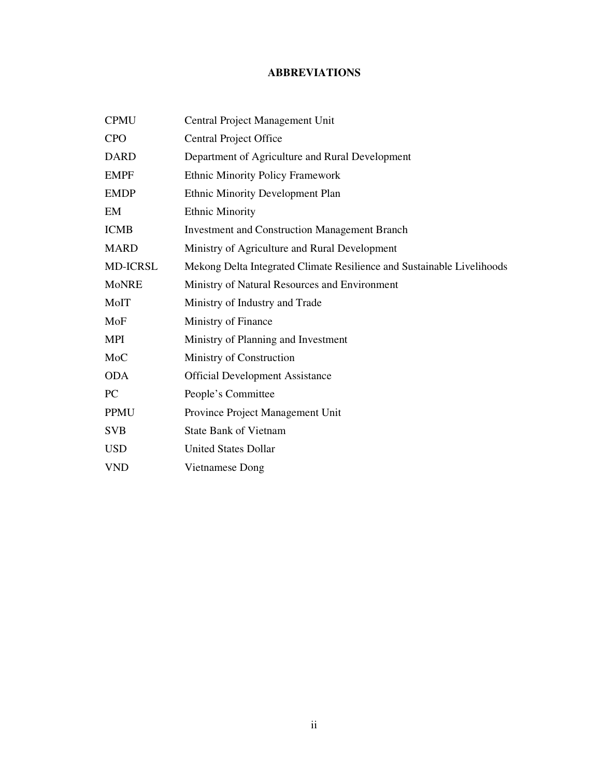# **ABBREVIATIONS**

| <b>CPMU</b>     | Central Project Management Unit                                        |
|-----------------|------------------------------------------------------------------------|
| <b>CPO</b>      | <b>Central Project Office</b>                                          |
| <b>DARD</b>     | Department of Agriculture and Rural Development                        |
| <b>EMPF</b>     | <b>Ethnic Minority Policy Framework</b>                                |
| <b>EMDP</b>     | Ethnic Minority Development Plan                                       |
| EM              | <b>Ethnic Minority</b>                                                 |
| <b>ICMB</b>     | <b>Investment and Construction Management Branch</b>                   |
| <b>MARD</b>     | Ministry of Agriculture and Rural Development                          |
| <b>MD-ICRSL</b> | Mekong Delta Integrated Climate Resilience and Sustainable Livelihoods |
| <b>MoNRE</b>    | Ministry of Natural Resources and Environment                          |
| MoIT            | Ministry of Industry and Trade                                         |
| MoF             | Ministry of Finance                                                    |
| <b>MPI</b>      | Ministry of Planning and Investment                                    |
| MoC             | Ministry of Construction                                               |
| <b>ODA</b>      | <b>Official Development Assistance</b>                                 |
| PC              | People's Committee                                                     |
| <b>PPMU</b>     | Province Project Management Unit                                       |
| <b>SVB</b>      | <b>State Bank of Vietnam</b>                                           |
| <b>USD</b>      | <b>United States Dollar</b>                                            |
| <b>VND</b>      | Vietnamese Dong                                                        |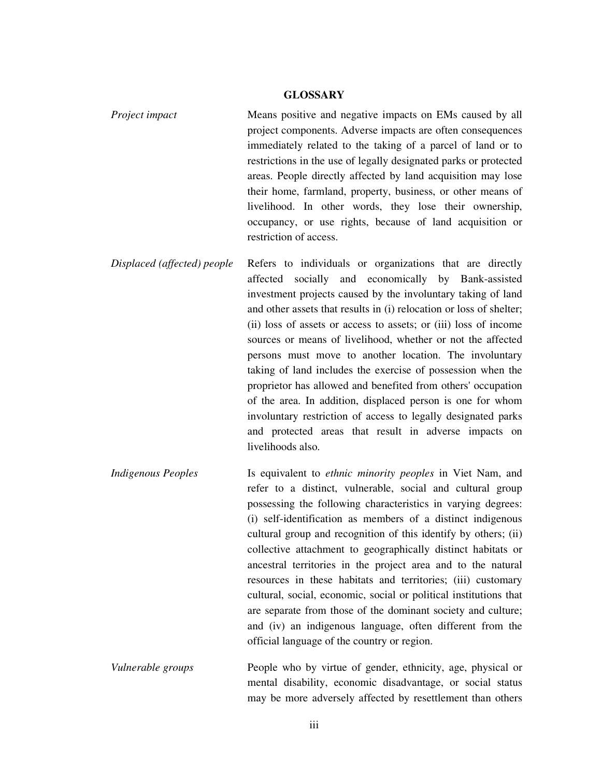#### **GLOSSARY**

- *Project impact* Means positive and negative impacts on EMs caused by all project components. Adverse impacts are often consequences immediately related to the taking of a parcel of land or to restrictions in the use of legally designated parks or protected areas. People directly affected by land acquisition may lose their home, farmland, property, business, or other means of livelihood. In other words, they lose their ownership, occupancy, or use rights, because of land acquisition or restriction of access.
- *Displaced (affected) people* Refers to individuals or organizations that are directly affected socially and economically by Bank-assisted investment projects caused by the involuntary taking of land and other assets that results in (i) relocation or loss of shelter; (ii) loss of assets or access to assets; or (iii) loss of income sources or means of livelihood, whether or not the affected persons must move to another location. The involuntary taking of land includes the exercise of possession when the proprietor has allowed and benefited from others' occupation of the area. In addition, displaced person is one for whom involuntary restriction of access to legally designated parks and protected areas that result in adverse impacts on livelihoods also.
- *Indigenous Peoples* Is equivalent to *ethnic minority peoples* in Viet Nam, and refer to a distinct, vulnerable, social and cultural group possessing the following characteristics in varying degrees: (i) self-identification as members of a distinct indigenous cultural group and recognition of this identify by others; (ii) collective attachment to geographically distinct habitats or ancestral territories in the project area and to the natural resources in these habitats and territories; (iii) customary cultural, social, economic, social or political institutions that are separate from those of the dominant society and culture; and (iv) an indigenous language, often different from the official language of the country or region.
- *Vulnerable groups* People who by virtue of gender, ethnicity, age, physical or mental disability, economic disadvantage, or social status may be more adversely affected by resettlement than others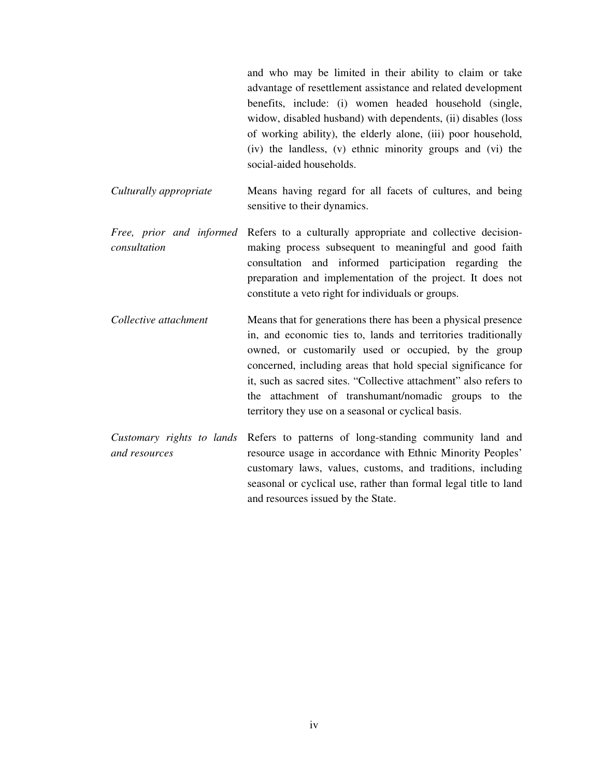and who may be limited in their ability to claim or take advantage of resettlement assistance and related development benefits, include: (i) women headed household (single, widow, disabled husband) with dependents, (ii) disables (loss of working ability), the elderly alone, (iii) poor household, (iv) the landless, (v) ethnic minority groups and (vi) the social-aided households.

*Culturally appropriate* Means having regard for all facets of cultures, and being sensitive to their dynamics.

- *Free, prior and informed*  Refers to a culturally appropriate and collective decision*consultation*  making process subsequent to meaningful and good faith consultation and informed participation regarding the preparation and implementation of the project. It does not constitute a veto right for individuals or groups.
- *Collective attachment* Means that for generations there has been a physical presence in, and economic ties to, lands and territories traditionally owned, or customarily used or occupied, by the group concerned, including areas that hold special significance for it, such as sacred sites. "Collective attachment" also refers to the attachment of transhumant/nomadic groups to the territory they use on a seasonal or cyclical basis.
- *Customary rights to lands*  Refers to patterns of long-standing community land and *and resources*  resource usage in accordance with Ethnic Minority Peoples' customary laws, values, customs, and traditions, including seasonal or cyclical use, rather than formal legal title to land and resources issued by the State.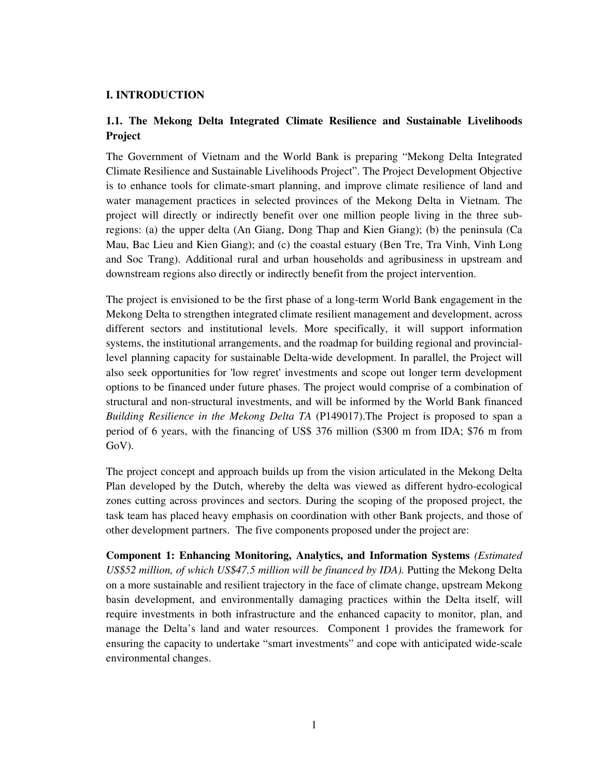## **I. INTRODUCTION**

# **1.1. The Mekong Delta Integrated Climate Resilience and Sustainable Livelihoods Project**

The Government of Vietnam and the World Bank is preparing "Mekong Delta Integrated Climate Resilience and Sustainable Livelihoods Project". The Project Development Objective is to enhance tools for climate-smart planning, and improve climate resilience of land and water management practices in selected provinces of the Mekong Delta in Vietnam. The project will directly or indirectly benefit over one million people living in the three subregions: (a) the upper delta (An Giang, Dong Thap and Kien Giang); (b) the peninsula (Ca Mau, Bac Lieu and Kien Giang); and (c) the coastal estuary (Ben Tre, Tra Vinh, Vinh Long and Soc Trang). Additional rural and urban households and agribusiness in upstream and downstream regions also directly or indirectly benefit from the project intervention.

The project is envisioned to be the first phase of a long-term World Bank engagement in the Mekong Delta to strengthen integrated climate resilient management and development, across different sectors and institutional levels. More specifically, it will support information systems, the institutional arrangements, and the roadmap for building regional and provinciallevel planning capacity for sustainable Delta-wide development. In parallel, the Project will also seek opportunities for 'low regret' investments and scope out longer term development options to be financed under future phases. The project would comprise of a combination of structural and non-structural investments, and will be informed by the World Bank financed *Building Resilience in the Mekong Delta TA* (P149017).The Project is proposed to span a period of 6 years, with the financing of US\$ 376 million (\$300 m from IDA; \$76 m from GoV).

The project concept and approach builds up from the vision articulated in the Mekong Delta Plan developed by the Dutch, whereby the delta was viewed as different hydro-ecological zones cutting across provinces and sectors. During the scoping of the proposed project, the task team has placed heavy emphasis on coordination with other Bank projects, and those of other development partners. The five components proposed under the project are:

**Component 1: Enhancing Monitoring, Analytics, and Information Systems** *(Estimated US\$52 million, of which US\$47.5 million will be financed by IDA).* Putting the Mekong Delta on a more sustainable and resilient trajectory in the face of climate change, upstream Mekong basin development, and environmentally damaging practices within the Delta itself, will require investments in both infrastructure and the enhanced capacity to monitor, plan, and manage the Delta's land and water resources. Component 1 provides the framework for ensuring the capacity to undertake "smart investments" and cope with anticipated wide-scale environmental changes.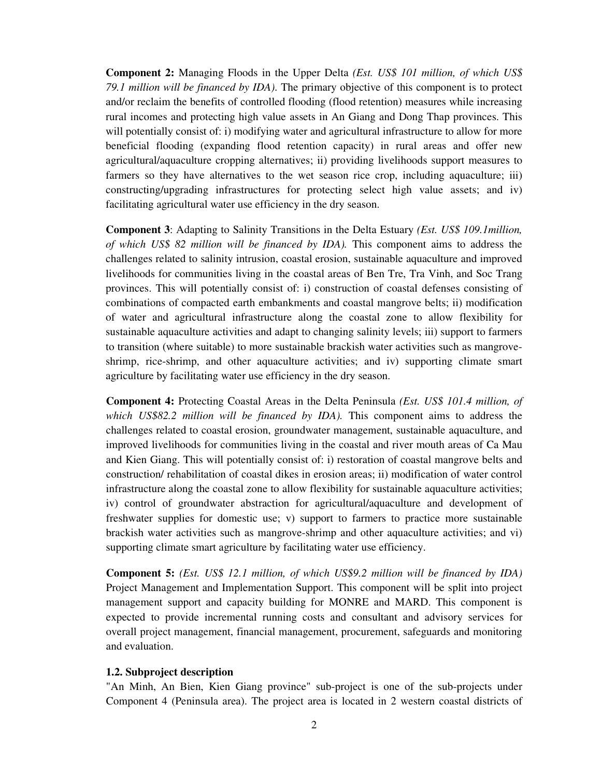**Component 2:** Managing Floods in the Upper Delta *(Est. US\$ 101 million, of which US\$ 79.1 million will be financed by IDA)*. The primary objective of this component is to protect and/or reclaim the benefits of controlled flooding (flood retention) measures while increasing rural incomes and protecting high value assets in An Giang and Dong Thap provinces. This will potentially consist of: i) modifying water and agricultural infrastructure to allow for more beneficial flooding (expanding flood retention capacity) in rural areas and offer new agricultural/aquaculture cropping alternatives; ii) providing livelihoods support measures to farmers so they have alternatives to the wet season rice crop, including aquaculture; iii) constructing/upgrading infrastructures for protecting select high value assets; and iv) facilitating agricultural water use efficiency in the dry season.

**Component 3**: Adapting to Salinity Transitions in the Delta Estuary *(Est. US\$ 109.1million, of which US\$ 82 million will be financed by IDA).* This component aims to address the challenges related to salinity intrusion, coastal erosion, sustainable aquaculture and improved livelihoods for communities living in the coastal areas of Ben Tre, Tra Vinh, and Soc Trang provinces. This will potentially consist of: i) construction of coastal defenses consisting of combinations of compacted earth embankments and coastal mangrove belts; ii) modification of water and agricultural infrastructure along the coastal zone to allow flexibility for sustainable aquaculture activities and adapt to changing salinity levels; iii) support to farmers to transition (where suitable) to more sustainable brackish water activities such as mangroveshrimp, rice-shrimp, and other aquaculture activities; and iv) supporting climate smart agriculture by facilitating water use efficiency in the dry season.

**Component 4:** Protecting Coastal Areas in the Delta Peninsula *(Est. US\$ 101.4 million, of which US\$82.2 million will be financed by IDA).* This component aims to address the challenges related to coastal erosion, groundwater management, sustainable aquaculture, and improved livelihoods for communities living in the coastal and river mouth areas of Ca Mau and Kien Giang. This will potentially consist of: i) restoration of coastal mangrove belts and construction/ rehabilitation of coastal dikes in erosion areas; ii) modification of water control infrastructure along the coastal zone to allow flexibility for sustainable aquaculture activities; iv) control of groundwater abstraction for agricultural/aquaculture and development of freshwater supplies for domestic use; v) support to farmers to practice more sustainable brackish water activities such as mangrove-shrimp and other aquaculture activities; and vi) supporting climate smart agriculture by facilitating water use efficiency.

**Component 5:** *(Est. US\$ 12.1 million, of which US\$9.2 million will be financed by IDA)* Project Management and Implementation Support. This component will be split into project management support and capacity building for MONRE and MARD. This component is expected to provide incremental running costs and consultant and advisory services for overall project management, financial management, procurement, safeguards and monitoring and evaluation.

#### **1.2. Subproject description**

"An Minh, An Bien, Kien Giang province" sub-project is one of the sub-projects under Component 4 (Peninsula area). The project area is located in 2 western coastal districts of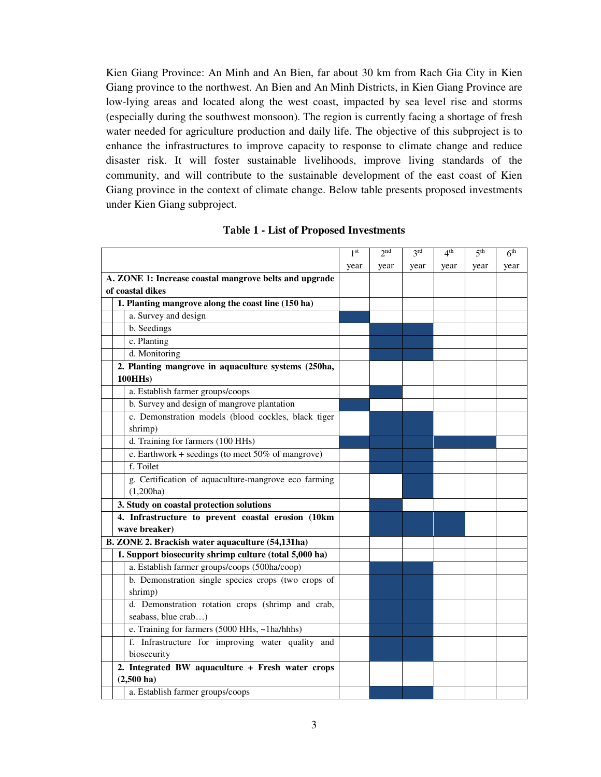Kien Giang Province: An Minh and An Bien, far about 30 km from Rach Gia City in Kien Giang province to the northwest. An Bien and An Minh Districts, in Kien Giang Province are low-lying areas and located along the west coast, impacted by sea level rise and storms (especially during the southwest monsoon). The region is currently facing a shortage of fresh water needed for agriculture production and daily life. The objective of this subproject is to enhance the infrastructures to improve capacity to response to climate change and reduce disaster risk. It will foster sustainable livelihoods, improve living standards of the community, and will contribute to the sustainable development of the east coast of Kien Giang province in the context of climate change. Below table presents proposed investments under Kien Giang subproject.

|                                                        | 1 <sup>st</sup> | 2 <sub>nd</sub> | 3 <sup>rd</sup> | 4 <sup>th</sup> | 5 <sup>th</sup> | 6 <sup>th</sup> |
|--------------------------------------------------------|-----------------|-----------------|-----------------|-----------------|-----------------|-----------------|
|                                                        | year            | year            | year            | year            | year            | year            |
| A. ZONE 1: Increase coastal mangrove belts and upgrade |                 |                 |                 |                 |                 |                 |
| of coastal dikes                                       |                 |                 |                 |                 |                 |                 |
| 1. Planting mangrove along the coast line (150 ha)     |                 |                 |                 |                 |                 |                 |
| a. Survey and design                                   |                 |                 |                 |                 |                 |                 |
| b. Seedings                                            |                 |                 |                 |                 |                 |                 |
| c. Planting                                            |                 |                 |                 |                 |                 |                 |
| d. Monitoring                                          |                 |                 |                 |                 |                 |                 |
| 2. Planting mangrove in aquaculture systems (250ha,    |                 |                 |                 |                 |                 |                 |
| <b>100HHs</b> )                                        |                 |                 |                 |                 |                 |                 |
| a. Establish farmer groups/coops                       |                 |                 |                 |                 |                 |                 |
| b. Survey and design of mangrove plantation            |                 |                 |                 |                 |                 |                 |
| c. Demonstration models (blood cockles, black tiger    |                 |                 |                 |                 |                 |                 |
| shrimp)                                                |                 |                 |                 |                 |                 |                 |
| d. Training for farmers (100 HHs)                      |                 |                 |                 |                 |                 |                 |
| e. Earthwork + seedings (to meet $50\%$ of mangrove)   |                 |                 |                 |                 |                 |                 |
| f. Toilet                                              |                 |                 |                 |                 |                 |                 |
| g. Certification of aquaculture-mangrove eco farming   |                 |                 |                 |                 |                 |                 |
| (1,200ha)                                              |                 |                 |                 |                 |                 |                 |
| 3. Study on coastal protection solutions               |                 |                 |                 |                 |                 |                 |
| 4. Infrastructure to prevent coastal erosion (10km     |                 |                 |                 |                 |                 |                 |
| wave breaker)                                          |                 |                 |                 |                 |                 |                 |
| B. ZONE 2. Brackish water aquaculture (54,131ha)       |                 |                 |                 |                 |                 |                 |
| 1. Support biosecurity shrimp culture (total 5,000 ha) |                 |                 |                 |                 |                 |                 |
| a. Establish farmer groups/coops (500ha/coop)          |                 |                 |                 |                 |                 |                 |
| b. Demonstration single species crops (two crops of    |                 |                 |                 |                 |                 |                 |
| shrimp)                                                |                 |                 |                 |                 |                 |                 |
| d. Demonstration rotation crops (shrimp and crab,      |                 |                 |                 |                 |                 |                 |
| seabass, blue crab)                                    |                 |                 |                 |                 |                 |                 |
| e. Training for farmers (5000 HHs, ~1ha/hhhs)          |                 |                 |                 |                 |                 |                 |
| f. Infrastructure for improving water quality and      |                 |                 |                 |                 |                 |                 |
| biosecurity                                            |                 |                 |                 |                 |                 |                 |
| 2. Integrated BW aquaculture + Fresh water crops       |                 |                 |                 |                 |                 |                 |
| $(2,500 \text{ ha})$                                   |                 |                 |                 |                 |                 |                 |
| a. Establish farmer groups/coops                       |                 |                 |                 |                 |                 |                 |

#### **Table 1 - List of Proposed Investments**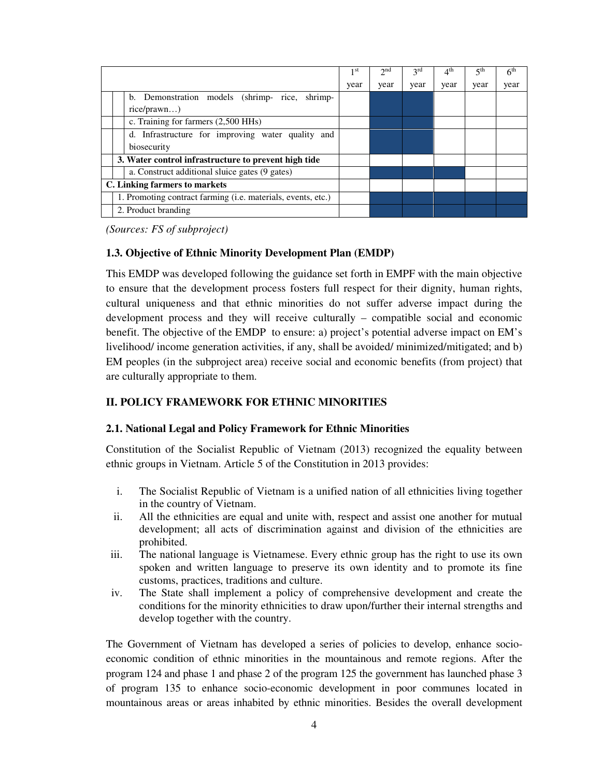|                                                      |                                                              | 1 <sup>st</sup> | 2nd  | 2rd  | 4 <sup>th</sup> | 5 <sup>th</sup> | 6 <sup>th</sup> |
|------------------------------------------------------|--------------------------------------------------------------|-----------------|------|------|-----------------|-----------------|-----------------|
|                                                      |                                                              | year            | year | year | year            | year            | year            |
|                                                      | b. Demonstration models (shrimp- rice, shrimp-               |                 |      |      |                 |                 |                 |
|                                                      | rice/prawn)                                                  |                 |      |      |                 |                 |                 |
|                                                      | c. Training for farmers (2,500 HHs)                          |                 |      |      |                 |                 |                 |
| d. Infrastructure for improving water quality and    |                                                              |                 |      |      |                 |                 |                 |
|                                                      | biosecurity                                                  |                 |      |      |                 |                 |                 |
| 3. Water control infrastructure to prevent high tide |                                                              |                 |      |      |                 |                 |                 |
| a. Construct additional sluice gates (9 gates)       |                                                              |                 |      |      |                 |                 |                 |
| C. Linking farmers to markets                        |                                                              |                 |      |      |                 |                 |                 |
|                                                      | 1. Promoting contract farming (i.e. materials, events, etc.) |                 |      |      |                 |                 |                 |
|                                                      | 2. Product branding                                          |                 |      |      |                 |                 |                 |

*(Sources: FS of subproject)* 

### **1.3. Objective of Ethnic Minority Development Plan (EMDP)**

This EMDP was developed following the guidance set forth in EMPF with the main objective to ensure that the development process fosters full respect for their dignity, human rights, cultural uniqueness and that ethnic minorities do not suffer adverse impact during the development process and they will receive culturally – compatible social and economic benefit. The objective of the EMDP to ensure: a) project's potential adverse impact on EM's livelihood/ income generation activities, if any, shall be avoided/ minimized/mitigated; and b) EM peoples (in the subproject area) receive social and economic benefits (from project) that are culturally appropriate to them.

### **II. POLICY FRAMEWORK FOR ETHNIC MINORITIES**

#### **2.1. National Legal and Policy Framework for Ethnic Minorities**

Constitution of the Socialist Republic of Vietnam (2013) recognized the equality between ethnic groups in Vietnam. Article 5 of the Constitution in 2013 provides:

- i. The Socialist Republic of Vietnam is a unified nation of all ethnicities living together in the country of Vietnam.
- ii. All the ethnicities are equal and unite with, respect and assist one another for mutual development; all acts of discrimination against and division of the ethnicities are prohibited.
- iii. The national language is Vietnamese. Every ethnic group has the right to use its own spoken and written language to preserve its own identity and to promote its fine customs, practices, traditions and culture.
- iv. The State shall implement a policy of comprehensive development and create the conditions for the minority ethnicities to draw upon/further their internal strengths and develop together with the country.

The Government of Vietnam has developed a series of policies to develop, enhance socioeconomic condition of ethnic minorities in the mountainous and remote regions. After the program 124 and phase 1 and phase 2 of the program 125 the government has launched phase 3 of program 135 to enhance socio-economic development in poor communes located in mountainous areas or areas inhabited by ethnic minorities. Besides the overall development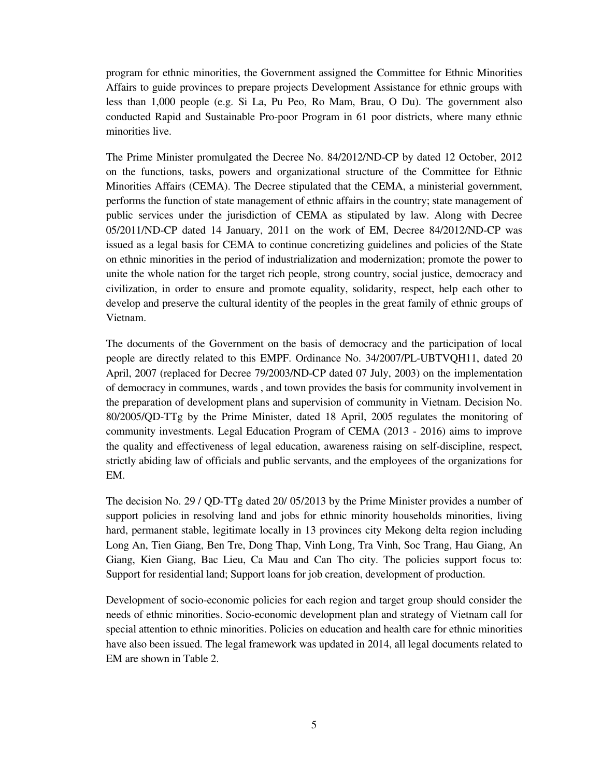program for ethnic minorities, the Government assigned the Committee for Ethnic Minorities Affairs to guide provinces to prepare projects Development Assistance for ethnic groups with less than 1,000 people (e.g. Si La, Pu Peo, Ro Mam, Brau, O Du). The government also conducted Rapid and Sustainable Pro-poor Program in 61 poor districts, where many ethnic minorities live.

The Prime Minister promulgated the Decree No. 84/2012/ND-CP by dated 12 October, 2012 on the functions, tasks, powers and organizational structure of the Committee for Ethnic Minorities Affairs (CEMA). The Decree stipulated that the CEMA, a ministerial government, performs the function of state management of ethnic affairs in the country; state management of public services under the jurisdiction of CEMA as stipulated by law. Along with Decree 05/2011/ND-CP dated 14 January, 2011 on the work of EM, Decree 84/2012/ND-CP was issued as a legal basis for CEMA to continue concretizing guidelines and policies of the State on ethnic minorities in the period of industrialization and modernization; promote the power to unite the whole nation for the target rich people, strong country, social justice, democracy and civilization, in order to ensure and promote equality, solidarity, respect, help each other to develop and preserve the cultural identity of the peoples in the great family of ethnic groups of Vietnam.

The documents of the Government on the basis of democracy and the participation of local people are directly related to this EMPF. Ordinance No. 34/2007/PL-UBTVQH11, dated 20 April, 2007 (replaced for Decree 79/2003/ND-CP dated 07 July, 2003) on the implementation of democracy in communes, wards , and town provides the basis for community involvement in the preparation of development plans and supervision of community in Vietnam. Decision No. 80/2005/QD-TTg by the Prime Minister, dated 18 April, 2005 regulates the monitoring of community investments. Legal Education Program of CEMA (2013 - 2016) aims to improve the quality and effectiveness of legal education, awareness raising on self-discipline, respect, strictly abiding law of officials and public servants, and the employees of the organizations for EM.

The decision No. 29 / QD-TTg dated 20/ 05/2013 by the Prime Minister provides a number of support policies in resolving land and jobs for ethnic minority households minorities, living hard, permanent stable, legitimate locally in 13 provinces city Mekong delta region including Long An, Tien Giang, Ben Tre, Dong Thap, Vinh Long, Tra Vinh, Soc Trang, Hau Giang, An Giang, Kien Giang, Bac Lieu, Ca Mau and Can Tho city. The policies support focus to: Support for residential land; Support loans for job creation, development of production.

Development of socio-economic policies for each region and target group should consider the needs of ethnic minorities. Socio-economic development plan and strategy of Vietnam call for special attention to ethnic minorities. Policies on education and health care for ethnic minorities have also been issued. The legal framework was updated in 2014, all legal documents related to EM are shown in Table 2.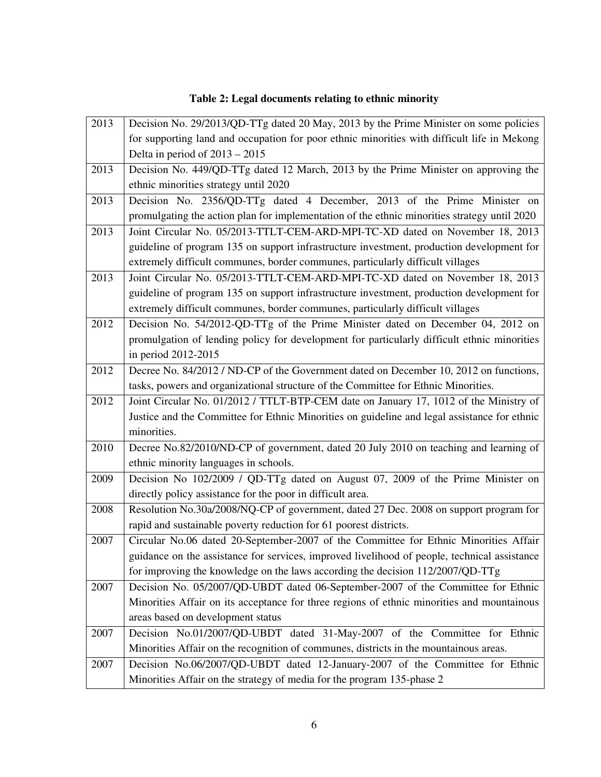# **Table 2: Legal documents relating to ethnic minority**

| 2013 | Decision No. 29/2013/QD-TTg dated 20 May, 2013 by the Prime Minister on some policies        |  |  |  |  |
|------|----------------------------------------------------------------------------------------------|--|--|--|--|
|      | for supporting land and occupation for poor ethnic minorities with difficult life in Mekong  |  |  |  |  |
|      | Delta in period of $2013 - 2015$                                                             |  |  |  |  |
| 2013 | Decision No. 449/QD-TTg dated 12 March, 2013 by the Prime Minister on approving the          |  |  |  |  |
|      | ethnic minorities strategy until 2020                                                        |  |  |  |  |
| 2013 | Decision No. 2356/QD-TTg dated 4 December, 2013 of the Prime Minister on                     |  |  |  |  |
|      | promulgating the action plan for implementation of the ethnic minorities strategy until 2020 |  |  |  |  |
| 2013 | Joint Circular No. 05/2013-TTLT-CEM-ARD-MPI-TC-XD dated on November 18, 2013                 |  |  |  |  |
|      | guideline of program 135 on support infrastructure investment, production development for    |  |  |  |  |
|      | extremely difficult communes, border communes, particularly difficult villages               |  |  |  |  |
| 2013 | Joint Circular No. 05/2013-TTLT-CEM-ARD-MPI-TC-XD dated on November 18, 2013                 |  |  |  |  |
|      | guideline of program 135 on support infrastructure investment, production development for    |  |  |  |  |
|      | extremely difficult communes, border communes, particularly difficult villages               |  |  |  |  |
| 2012 | Decision No. 54/2012-QD-TTg of the Prime Minister dated on December 04, 2012 on              |  |  |  |  |
|      | promulgation of lending policy for development for particularly difficult ethnic minorities  |  |  |  |  |
|      | in period 2012-2015                                                                          |  |  |  |  |
| 2012 | Decree No. 84/2012 / ND-CP of the Government dated on December 10, 2012 on functions,        |  |  |  |  |
|      | tasks, powers and organizational structure of the Committee for Ethnic Minorities.           |  |  |  |  |
| 2012 | Joint Circular No. 01/2012 / TTLT-BTP-CEM date on January 17, 1012 of the Ministry of        |  |  |  |  |
|      | Justice and the Committee for Ethnic Minorities on guideline and legal assistance for ethnic |  |  |  |  |
|      | minorities.                                                                                  |  |  |  |  |
| 2010 | Decree No.82/2010/ND-CP of government, dated 20 July 2010 on teaching and learning of        |  |  |  |  |
|      | ethnic minority languages in schools.                                                        |  |  |  |  |
| 2009 | Decision No 102/2009 / QD-TTg dated on August 07, 2009 of the Prime Minister on              |  |  |  |  |
|      | directly policy assistance for the poor in difficult area.                                   |  |  |  |  |
| 2008 | Resolution No.30a/2008/NQ-CP of government, dated 27 Dec. 2008 on support program for        |  |  |  |  |
|      | rapid and sustainable poverty reduction for 61 poorest districts.                            |  |  |  |  |
| 2007 | Circular No.06 dated 20-September-2007 of the Committee for Ethnic Minorities Affair         |  |  |  |  |
|      | guidance on the assistance for services, improved livelihood of people, technical assistance |  |  |  |  |
|      | for improving the knowledge on the laws according the decision 112/2007/QD-TTg               |  |  |  |  |
| 2007 | Decision No. 05/2007/QD-UBDT dated 06-September-2007 of the Committee for Ethnic             |  |  |  |  |
|      | Minorities Affair on its acceptance for three regions of ethnic minorities and mountainous   |  |  |  |  |
|      | areas based on development status                                                            |  |  |  |  |
| 2007 | Decision No.01/2007/QD-UBDT dated 31-May-2007 of the Committee for Ethnic                    |  |  |  |  |
|      | Minorities Affair on the recognition of communes, districts in the mountainous areas.        |  |  |  |  |
| 2007 | Decision No.06/2007/QD-UBDT dated 12-January-2007 of the Committee for Ethnic                |  |  |  |  |
|      | Minorities Affair on the strategy of media for the program 135-phase 2                       |  |  |  |  |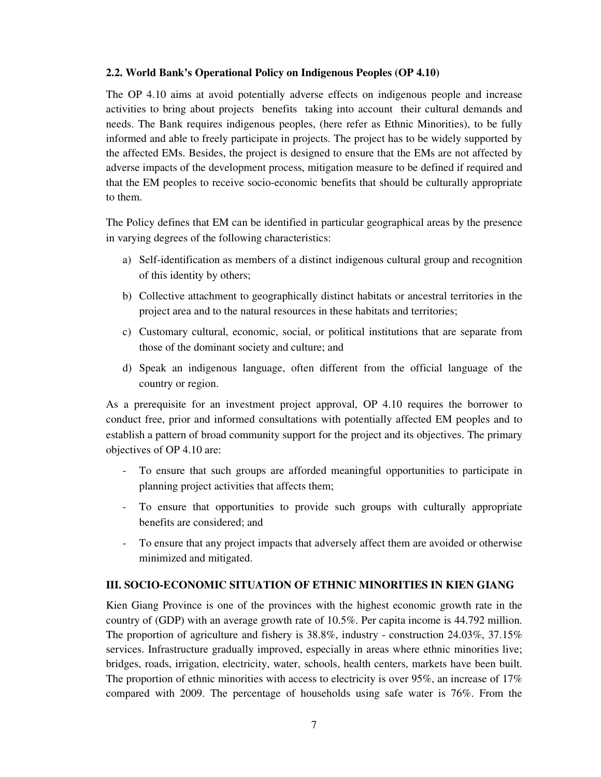### **2.2. World Bank's Operational Policy on Indigenous Peoples (OP 4.10)**

The OP 4.10 aims at avoid potentially adverse effects on indigenous people and increase activities to bring about projects benefits taking into account their cultural demands and needs. The Bank requires indigenous peoples, (here refer as Ethnic Minorities), to be fully informed and able to freely participate in projects. The project has to be widely supported by the affected EMs. Besides, the project is designed to ensure that the EMs are not affected by adverse impacts of the development process, mitigation measure to be defined if required and that the EM peoples to receive socio-economic benefits that should be culturally appropriate to them.

The Policy defines that EM can be identified in particular geographical areas by the presence in varying degrees of the following characteristics:

- a) Self-identification as members of a distinct indigenous cultural group and recognition of this identity by others;
- b) Collective attachment to geographically distinct habitats or ancestral territories in the project area and to the natural resources in these habitats and territories;
- c) Customary cultural, economic, social, or political institutions that are separate from those of the dominant society and culture; and
- d) Speak an indigenous language, often different from the official language of the country or region.

As a prerequisite for an investment project approval, OP 4.10 requires the borrower to conduct free, prior and informed consultations with potentially affected EM peoples and to establish a pattern of broad community support for the project and its objectives. The primary objectives of OP 4.10 are:

- To ensure that such groups are afforded meaningful opportunities to participate in planning project activities that affects them;
- To ensure that opportunities to provide such groups with culturally appropriate benefits are considered; and
- To ensure that any project impacts that adversely affect them are avoided or otherwise minimized and mitigated.

### **III. SOCIO-ECONOMIC SITUATION OF ETHNIC MINORITIES IN KIEN GIANG**

Kien Giang Province is one of the provinces with the highest economic growth rate in the country of (GDP) with an average growth rate of 10.5%. Per capita income is 44.792 million. The proportion of agriculture and fishery is 38.8%, industry - construction 24.03%, 37.15% services. Infrastructure gradually improved, especially in areas where ethnic minorities live; bridges, roads, irrigation, electricity, water, schools, health centers, markets have been built. The proportion of ethnic minorities with access to electricity is over 95%, an increase of 17% compared with 2009. The percentage of households using safe water is 76%. From the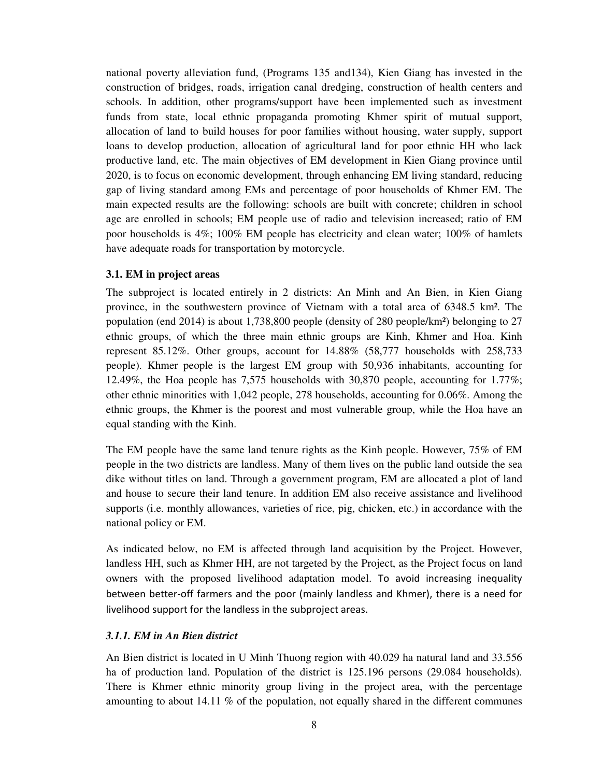national poverty alleviation fund, (Programs 135 and134), Kien Giang has invested in the construction of bridges, roads, irrigation canal dredging, construction of health centers and schools. In addition, other programs/support have been implemented such as investment funds from state, local ethnic propaganda promoting Khmer spirit of mutual support, allocation of land to build houses for poor families without housing, water supply, support loans to develop production, allocation of agricultural land for poor ethnic HH who lack productive land, etc. The main objectives of EM development in Kien Giang province until 2020, is to focus on economic development, through enhancing EM living standard, reducing gap of living standard among EMs and percentage of poor households of Khmer EM. The main expected results are the following: schools are built with concrete; children in school age are enrolled in schools; EM people use of radio and television increased; ratio of EM poor households is 4%; 100% EM people has electricity and clean water; 100% of hamlets have adequate roads for transportation by motorcycle.

#### **3.1. EM in project areas**

The subproject is located entirely in 2 districts: An Minh and An Bien, in Kien Giang province, in the southwestern province of Vietnam with a total area of 6348.5 km². The population (end 2014) is about 1,738,800 people (density of 280 people/km²) belonging to 27 ethnic groups, of which the three main ethnic groups are Kinh, Khmer and Hoa. Kinh represent 85.12%. Other groups, account for 14.88% (58,777 households with 258,733 people). Khmer people is the largest EM group with 50,936 inhabitants, accounting for 12.49%, the Hoa people has 7,575 households with 30,870 people, accounting for 1.77%; other ethnic minorities with 1,042 people, 278 households, accounting for 0.06%. Among the ethnic groups, the Khmer is the poorest and most vulnerable group, while the Hoa have an equal standing with the Kinh.

The EM people have the same land tenure rights as the Kinh people. However, 75% of EM people in the two districts are landless. Many of them lives on the public land outside the sea dike without titles on land. Through a government program, EM are allocated a plot of land and house to secure their land tenure. In addition EM also receive assistance and livelihood supports (i.e. monthly allowances, varieties of rice, pig, chicken, etc.) in accordance with the national policy or EM.

As indicated below, no EM is affected through land acquisition by the Project. However, landless HH, such as Khmer HH, are not targeted by the Project, as the Project focus on land owners with the proposed livelihood adaptation model. To avoid increasing inequality between better-off farmers and the poor (mainly landless and Khmer), there is a need for livelihood support for the landless in the subproject areas.

#### *3.1.1. EM in An Bien district*

An Bien district is located in U Minh Thuong region with 40.029 ha natural land and 33.556 ha of production land. Population of the district is 125.196 persons (29.084 households). There is Khmer ethnic minority group living in the project area, with the percentage amounting to about 14.11 % of the population, not equally shared in the different communes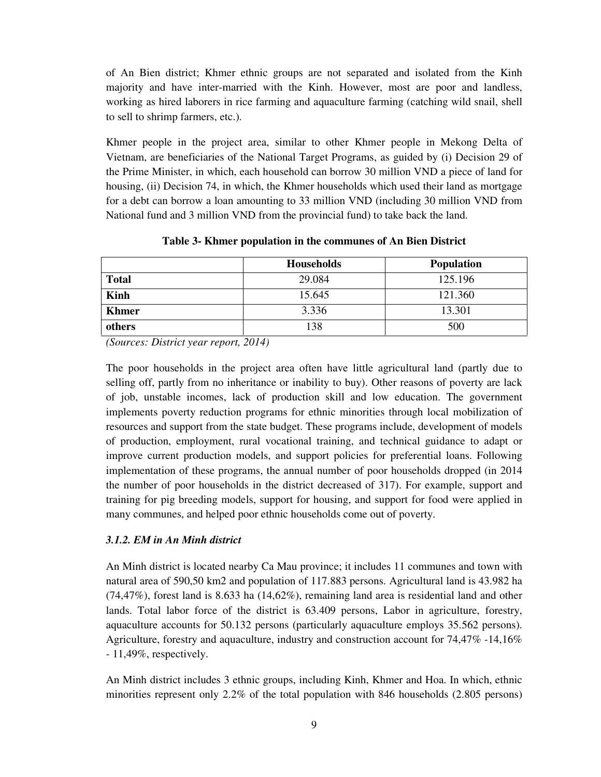of An Bien district; Khmer ethnic groups are not separated and isolated from the Kinh majority and have inter-married with the Kinh. However, most are poor and landless, working as hired laborers in rice farming and aquaculture farming (catching wild snail, shell to sell to shrimp farmers, etc.).

Khmer people in the project area, similar to other Khmer people in Mekong Delta of Vietnam, are beneficiaries of the National Target Programs, as guided by (i) Decision 29 of the Prime Minister, in which, each household can borrow 30 million VND a piece of land for housing, (ii) Decision 74, in which, the Khmer households which used their land as mortgage for a debt can borrow a loan amounting to 33 million VND (including 30 million VND from National fund and 3 million VND from the provincial fund) to take back the land.

|              | <b>Households</b> | <b>Population</b> |
|--------------|-------------------|-------------------|
| <b>Total</b> | 29.084            | 125.196           |
| <b>Kinh</b>  | 15.645            | 121.360           |
| <b>Khmer</b> | 3.336             | 13.301            |
| others       | 138               | 500               |

**Table 3- Khmer population in the communes of An Bien District** 

*(Sources: District year report, 2014)* 

The poor households in the project area often have little agricultural land (partly due to selling off, partly from no inheritance or inability to buy). Other reasons of poverty are lack of job, unstable incomes, lack of production skill and low education. The government implements poverty reduction programs for ethnic minorities through local mobilization of resources and support from the state budget. These programs include, development of models of production, employment, rural vocational training, and technical guidance to adapt or improve current production models, and support policies for preferential loans. Following implementation of these programs, the annual number of poor households dropped (in 2014 the number of poor households in the district decreased of 317). For example, support and training for pig breeding models, support for housing, and support for food were applied in many communes, and helped poor ethnic households come out of poverty.

# *3.1.2. EM in An Minh district*

An Minh district is located nearby Ca Mau province; it includes 11 communes and town with natural area of 590,50 km2 and population of 117.883 persons. Agricultural land is 43.982 ha (74,47%), forest land is 8.633 ha (14,62%), remaining land area is residential land and other lands. Total labor force of the district is 63.409 persons, Labor in agriculture, forestry, aquaculture accounts for 50.132 persons (particularly aquaculture employs 35.562 persons). Agriculture, forestry and aquaculture, industry and construction account for 74,47% -14,16% - 11,49%, respectively.

An Minh district includes 3 ethnic groups, including Kinh, Khmer and Hoa. In which, ethnic minorities represent only 2.2% of the total population with 846 households (2.805 persons)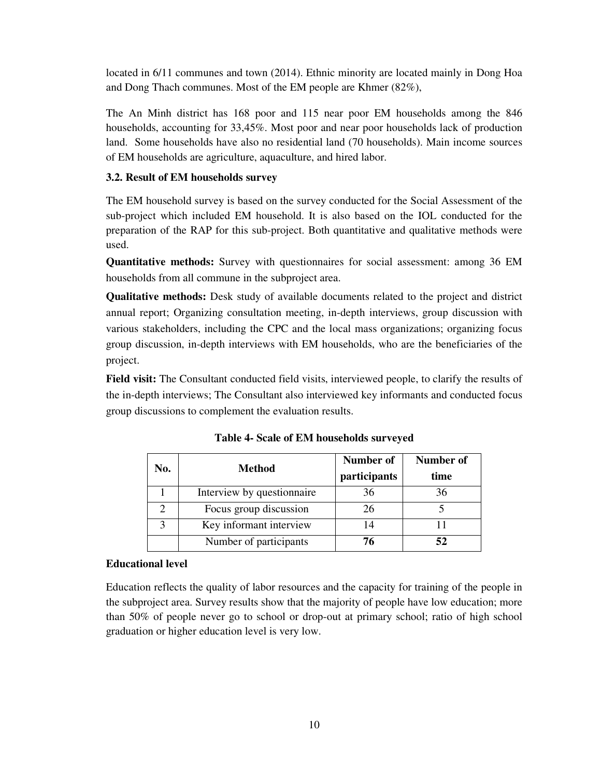located in 6/11 communes and town (2014). Ethnic minority are located mainly in Dong Hoa and Dong Thach communes. Most of the EM people are Khmer (82%),

The An Minh district has 168 poor and 115 near poor EM households among the 846 households, accounting for 33,45%. Most poor and near poor households lack of production land. Some households have also no residential land (70 households). Main income sources of EM households are agriculture, aquaculture, and hired labor.

# **3.2. Result of EM households survey**

The EM household survey is based on the survey conducted for the Social Assessment of the sub-project which included EM household. It is also based on the IOL conducted for the preparation of the RAP for this sub-project. Both quantitative and qualitative methods were used.

**Quantitative methods:** Survey with questionnaires for social assessment: among 36 EM households from all commune in the subproject area.

**Qualitative methods:** Desk study of available documents related to the project and district annual report; Organizing consultation meeting, in-depth interviews, group discussion with various stakeholders, including the CPC and the local mass organizations; organizing focus group discussion, in-depth interviews with EM households, who are the beneficiaries of the project.

**Field visit:** The Consultant conducted field visits, interviewed people, to clarify the results of the in-depth interviews; The Consultant also interviewed key informants and conducted focus group discussions to complement the evaluation results.

| No. | <b>Method</b>              | Number of    | Number of |
|-----|----------------------------|--------------|-----------|
|     |                            | participants | time      |
|     | Interview by questionnaire | 36           | 36        |
|     | Focus group discussion     | 26           |           |
|     | Key informant interview    |              |           |
|     | Number of participants     | 76           | 52        |

**Table 4- Scale of EM households surveyed** 

### **Educational level**

Education reflects the quality of labor resources and the capacity for training of the people in the subproject area. Survey results show that the majority of people have low education; more than 50% of people never go to school or drop-out at primary school; ratio of high school graduation or higher education level is very low.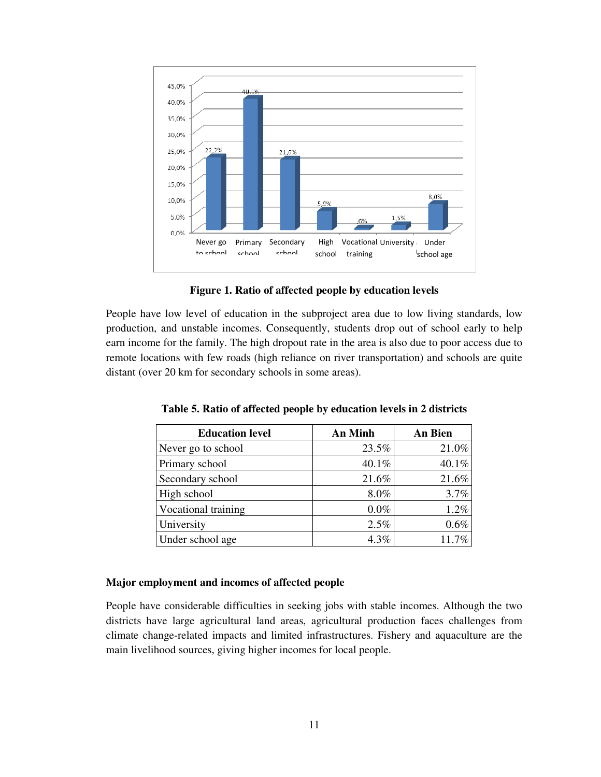

**Figure 1. Ratio of affected people by education levels**

People have low level of education in the subproject area due to low living standards, low production, and unstable incomes. Consequently, students drop out of school early to help earn income for the family. The high dropout rate in the area is also due to poor access due to remote locations with few roads (high reliance on river transportation) and schools are quite distant (over 20 km for secondary schools in some areas).

| <b>Education level</b> | <b>An Minh</b> | An Bien |
|------------------------|----------------|---------|
| Never go to school     | 23.5%          | 21.0%   |
| Primary school         | 40.1%          | 40.1%   |
| Secondary school       | 21.6%          | 21.6%   |
| High school            | 8.0%           | 3.7%    |
| Vocational training    | $0.0\%$        | 1.2%    |
| University             | 2.5%           | 0.6%    |
| Under school age       | 4.3%           | 11.7%   |

**Table 5. Ratio of affected people by education levels in 2 districts** 

### **Major employment and incomes of affected people**

People have considerable difficulties in seeking jobs with stable incomes. Although the two districts have large agricultural land areas, agricultural production faces challenges from climate change-related impacts and limited infrastructures. Fishery and aquaculture are the main livelihood sources, giving higher incomes for local people.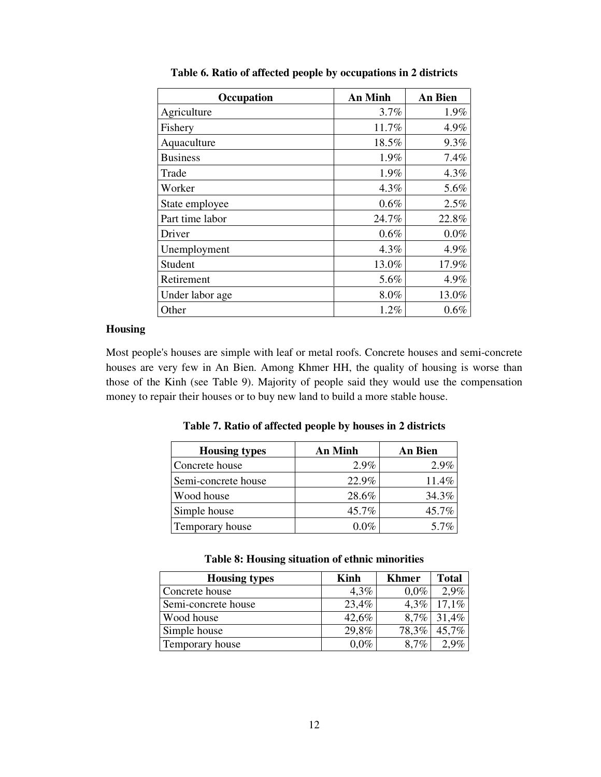| Occupation      | <b>An Minh</b> | <b>An Bien</b> |
|-----------------|----------------|----------------|
| Agriculture     | 3.7%           | 1.9%           |
| Fishery         | 11.7%          | 4.9%           |
| Aquaculture     | 18.5%          | 9.3%           |
| <b>Business</b> | 1.9%           | 7.4%           |
| Trade           | 1.9%           | 4.3%           |
| Worker          | 4.3%           | 5.6%           |
| State employee  | 0.6%           | 2.5%           |
| Part time labor | 24.7%          | 22.8%          |
| Driver          | 0.6%           | $0.0\%$        |
| Unemployment    | 4.3%           | 4.9%           |
| Student         | 13.0%          | 17.9%          |
| Retirement      | 5.6%           | 4.9%           |
| Under labor age | 8.0%           | 13.0%          |
| Other           | 1.2%           | 0.6%           |

**Table 6. Ratio of affected people by occupations in 2 districts** 

#### **Housing**

Most people's houses are simple with leaf or metal roofs. Concrete houses and semi-concrete houses are very few in An Bien. Among Khmer HH, the quality of housing is worse than those of the Kinh (see Table 9). Majority of people said they would use the compensation money to repair their houses or to buy new land to build a more stable house.

| <b>Housing types</b> | An Minh | An Bien |
|----------------------|---------|---------|
| Concrete house       | $2.9\%$ | $2.9\%$ |
| Semi-concrete house  | 22.9%   | 11.4%   |
| Wood house           | 28.6%   | 34.3%   |
| Simple house         | 45.7%   | 45.7%   |
| Temporary house      | 0 0%    | 5.7%    |

**Table 7. Ratio of affected people by houses in 2 districts** 

|  |  |  |  | Table 8: Housing situation of ethnic minorities |
|--|--|--|--|-------------------------------------------------|
|--|--|--|--|-------------------------------------------------|

| <b>Housing types</b> | Kinh    | <b>Khmer</b> | Total   |
|----------------------|---------|--------------|---------|
| Concrete house       | $4.3\%$ | $0.0\%$      | $2.9\%$ |
| Semi-concrete house  | 23,4%   | $4.3\%$      | 17.1%   |
| Wood house           | 42,6%   | 8,7%         | 31,4%   |
| Simple house         | 29,8%   | 78,3%        | 45,7%   |
| Temporary house      | $0.0\%$ | 8.7%         |         |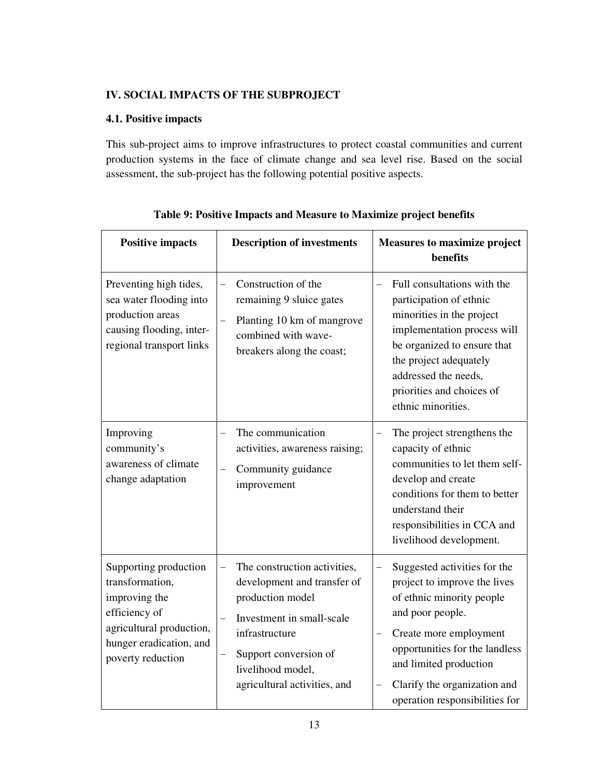# **IV. SOCIAL IMPACTS OF THE SUBPROJECT**

# **4.1. Positive impacts**

This sub-project aims to improve infrastructures to protect coastal communities and current production systems in the face of climate change and sea level rise. Based on the social assessment, the sub-project has the following potential positive aspects.

| <b>Positive impacts</b>                                                                                                                                | <b>Description of investments</b>                                                                                                                                                                            | <b>Measures to maximize project</b><br>benefits                                                                                                                                                                                                                                                   |
|--------------------------------------------------------------------------------------------------------------------------------------------------------|--------------------------------------------------------------------------------------------------------------------------------------------------------------------------------------------------------------|---------------------------------------------------------------------------------------------------------------------------------------------------------------------------------------------------------------------------------------------------------------------------------------------------|
| Preventing high tides,<br>sea water flooding into<br>production areas<br>causing flooding, inter-<br>regional transport links                          | Construction of the<br>remaining 9 sluice gates<br>Planting 10 km of mangrove<br>combined with wave-<br>breakers along the coast;                                                                            | Full consultations with the<br>participation of ethnic<br>minorities in the project<br>implementation process will<br>be organized to ensure that<br>the project adequately<br>addressed the needs,<br>priorities and choices of<br>ethnic minorities.                                            |
| Improving<br>community's<br>awareness of climate<br>change adaptation                                                                                  | The communication<br>activities, awareness raising;<br>Community guidance<br>improvement                                                                                                                     | The project strengthens the<br>$\qquad \qquad -$<br>capacity of ethnic<br>communities to let them self-<br>develop and create<br>conditions for them to better<br>understand their<br>responsibilities in CCA and<br>livelihood development.                                                      |
| Supporting production<br>transformation,<br>improving the<br>efficiency of<br>agricultural production,<br>hunger eradication, and<br>poverty reduction | The construction activities,<br>development and transfer of<br>production model<br>Investment in small-scale<br>infrastructure<br>Support conversion of<br>livelihood model,<br>agricultural activities, and | Suggested activities for the<br>$\overline{\phantom{0}}$<br>project to improve the lives<br>of ethnic minority people<br>and poor people.<br>Create more employment<br>opportunities for the landless<br>and limited production<br>Clarify the organization and<br>operation responsibilities for |

**Table 9: Positive Impacts and Measure to Maximize project benefits**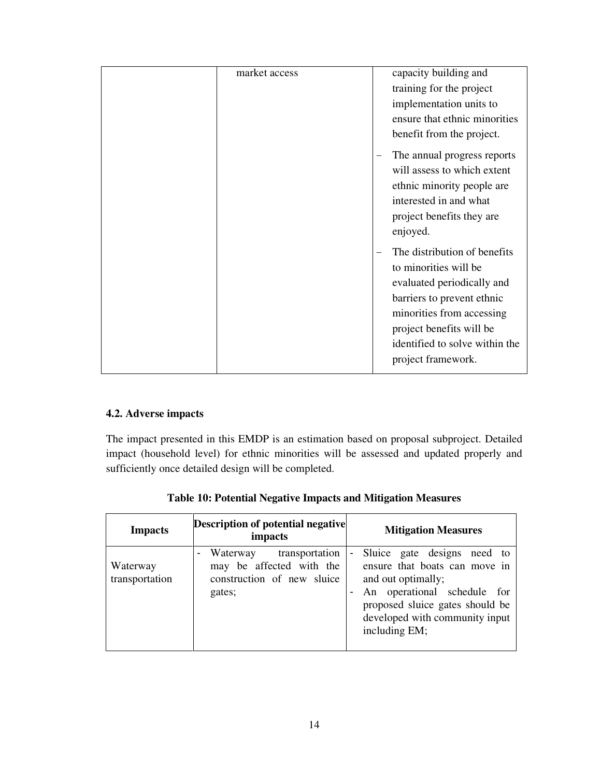| market access | capacity building and          |
|---------------|--------------------------------|
|               | training for the project       |
|               | implementation units to        |
|               | ensure that ethnic minorities  |
|               | benefit from the project.      |
|               | The annual progress reports    |
|               | will assess to which extent    |
|               | ethnic minority people are     |
|               | interested in and what         |
|               | project benefits they are      |
|               | enjoyed.                       |
|               | The distribution of benefits   |
|               | to minorities will be          |
|               | evaluated periodically and     |
|               | barriers to prevent ethnic     |
|               | minorities from accessing      |
|               | project benefits will be       |
|               | identified to solve within the |
|               | project framework.             |
|               |                                |

# **4.2. Adverse impacts**

The impact presented in this EMDP is an estimation based on proposal subproject. Detailed impact (household level) for ethnic minorities will be assessed and updated properly and sufficiently once detailed design will be completed.

| <b>Impacts</b>             | <b>Description of potential negative</b><br>impacts                                                              | <b>Mitigation Measures</b>                                                                                                                                                                                                |
|----------------------------|------------------------------------------------------------------------------------------------------------------|---------------------------------------------------------------------------------------------------------------------------------------------------------------------------------------------------------------------------|
| Waterway<br>transportation | transportation<br>Waterway<br>$\blacksquare$<br>may be affected with the<br>construction of new sluice<br>gates; | Sluice gate designs need to<br>$\blacksquare$<br>ensure that boats can move in<br>and out optimally;<br>An operational schedule for<br>proposed sluice gates should be<br>developed with community input<br>including EM; |

**Table 10: Potential Negative Impacts and Mitigation Measures**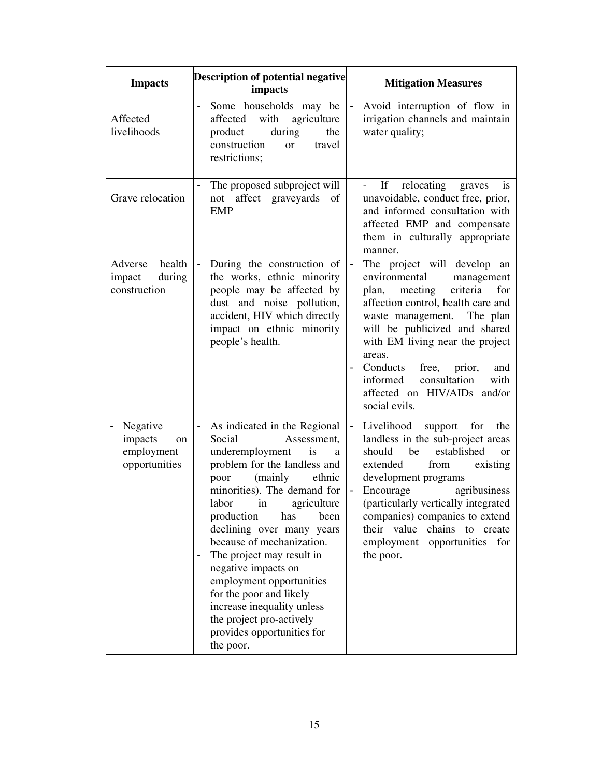| <b>Impacts</b>                                           | <b>Description of potential negative</b><br>impacts                                                                                                                                                                                                                                                                                                                                                                                                                                                                                               | <b>Mitigation Measures</b>                                                                                                                                                                                                                                                                                                                                                                |  |
|----------------------------------------------------------|---------------------------------------------------------------------------------------------------------------------------------------------------------------------------------------------------------------------------------------------------------------------------------------------------------------------------------------------------------------------------------------------------------------------------------------------------------------------------------------------------------------------------------------------------|-------------------------------------------------------------------------------------------------------------------------------------------------------------------------------------------------------------------------------------------------------------------------------------------------------------------------------------------------------------------------------------------|--|
| Affected<br>livelihoods                                  | Some households may be<br>affected<br>with<br>agriculture<br>product<br>during<br>the<br>construction<br>travel<br><sub>or</sub><br>restrictions;                                                                                                                                                                                                                                                                                                                                                                                                 | Avoid interruption of flow in<br>irrigation channels and maintain<br>water quality;                                                                                                                                                                                                                                                                                                       |  |
| Grave relocation                                         | The proposed subproject will<br>affect graveyards<br>not<br>of<br><b>EMP</b>                                                                                                                                                                                                                                                                                                                                                                                                                                                                      | relocating<br>graves<br>If<br><sup>is</sup><br>unavoidable, conduct free, prior,<br>and informed consultation with<br>affected EMP and compensate<br>them in culturally appropriate<br>manner.                                                                                                                                                                                            |  |
| health<br>Adverse<br>during<br>impact<br>construction    | During the construction of<br>$\blacksquare$<br>the works, ethnic minority<br>people may be affected by<br>dust and noise pollution,<br>accident, HIV which directly<br>impact on ethnic minority<br>people's health.                                                                                                                                                                                                                                                                                                                             | The project will develop an<br>$\blacksquare$<br>environmental<br>management<br>criteria<br>plan, meeting<br>for<br>affection control, health care and<br>waste management. The plan<br>will be publicized and shared<br>with EM living near the project<br>areas.<br>Conducts<br>free, prior,<br>and<br>consultation<br>with<br>informed<br>affected on HIV/AIDs and/or<br>social evils. |  |
| Negative<br>impacts<br>on<br>employment<br>opportunities | As indicated in the Regional<br>$\qquad \qquad \blacksquare$<br>Social<br>Assessment,<br>underemployment<br>is<br>a<br>problem for the landless and<br>(mainly<br>poor<br>ethnic<br>minorities). The demand for<br>labor<br>in agriculture<br>production<br>has<br>been<br>declining over many years<br>because of mechanization.<br>The project may result in<br>negative impacts on<br>employment opportunities<br>for the poor and likely<br>increase inequality unless<br>the project pro-actively<br>provides opportunities for<br>the poor. | Livelihood<br>support for<br>the<br>landless in the sub-project areas<br>established<br>should<br>be<br>$\alpha$<br>from<br>existing<br>extended<br>development programs<br>Encourage<br>agribusiness<br>(particularly vertically integrated<br>companies) companies to extend<br>their value chains to create<br>employment opportunities for<br>the poor.                               |  |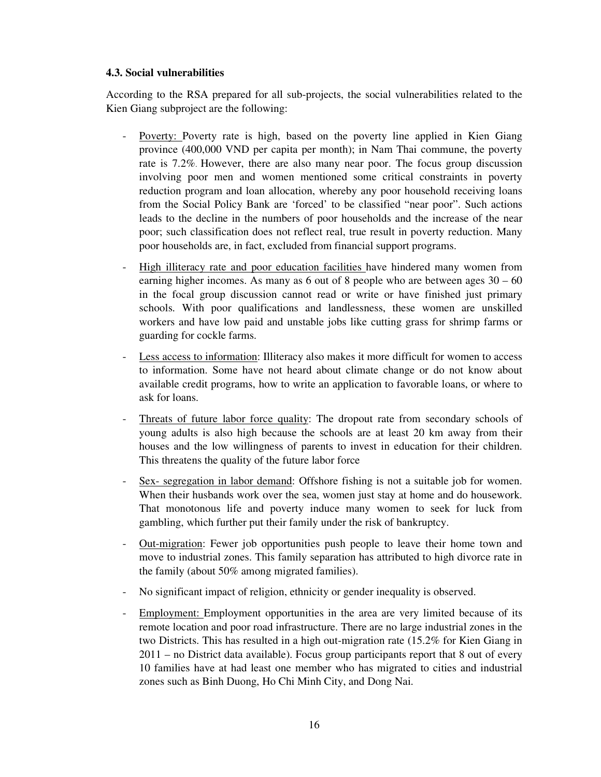### **4.3. Social vulnerabilities**

According to the RSA prepared for all sub-projects, the social vulnerabilities related to the Kien Giang subproject are the following:

- Poverty: Poverty rate is high, based on the poverty line applied in Kien Giang province (400,000 VND per capita per month); in Nam Thai commune, the poverty rate is 7.2%. However, there are also many near poor. The focus group discussion involving poor men and women mentioned some critical constraints in poverty reduction program and loan allocation, whereby any poor household receiving loans from the Social Policy Bank are 'forced' to be classified "near poor". Such actions leads to the decline in the numbers of poor households and the increase of the near poor; such classification does not reflect real, true result in poverty reduction. Many poor households are, in fact, excluded from financial support programs.
- High illiteracy rate and poor education facilities have hindered many women from earning higher incomes. As many as 6 out of 8 people who are between ages 30 – 60 in the focal group discussion cannot read or write or have finished just primary schools. With poor qualifications and landlessness, these women are unskilled workers and have low paid and unstable jobs like cutting grass for shrimp farms or guarding for cockle farms.
- Less access to information: Illiteracy also makes it more difficult for women to access to information. Some have not heard about climate change or do not know about available credit programs, how to write an application to favorable loans, or where to ask for loans.
- Threats of future labor force quality: The dropout rate from secondary schools of young adults is also high because the schools are at least 20 km away from their houses and the low willingness of parents to invest in education for their children. This threatens the quality of the future labor force
- Sex- segregation in labor demand: Offshore fishing is not a suitable job for women. When their husbands work over the sea, women just stay at home and do housework. That monotonous life and poverty induce many women to seek for luck from gambling, which further put their family under the risk of bankruptcy.
- <u>Out-migration</u>: Fewer job opportunities push people to leave their home town and move to industrial zones. This family separation has attributed to high divorce rate in the family (about 50% among migrated families).
- No significant impact of religion, ethnicity or gender inequality is observed.
- Employment: Employment opportunities in the area are very limited because of its remote location and poor road infrastructure. There are no large industrial zones in the two Districts. This has resulted in a high out-migration rate (15.2% for Kien Giang in 2011 – no District data available). Focus group participants report that 8 out of every 10 families have at had least one member who has migrated to cities and industrial zones such as Binh Duong, Ho Chi Minh City, and Dong Nai.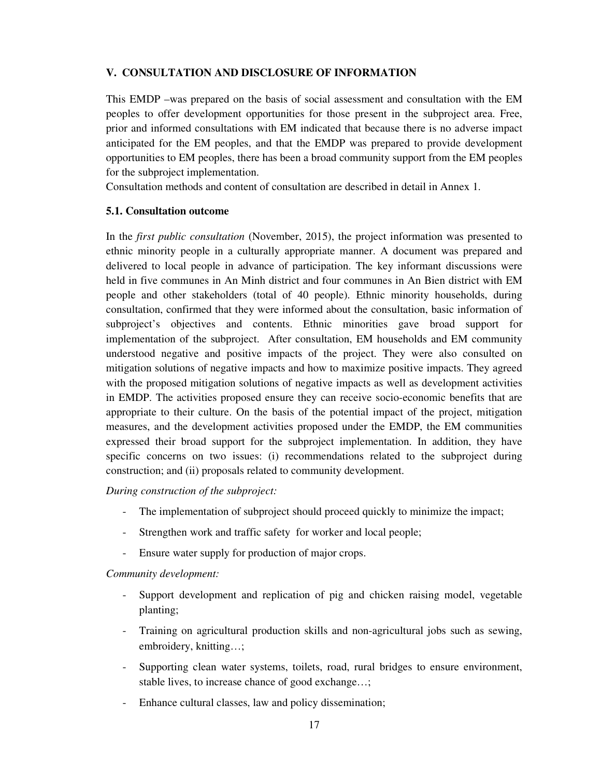# **V. CONSULTATION AND DISCLOSURE OF INFORMATION**

This EMDP –was prepared on the basis of social assessment and consultation with the EM peoples to offer development opportunities for those present in the subproject area. Free, prior and informed consultations with EM indicated that because there is no adverse impact anticipated for the EM peoples, and that the EMDP was prepared to provide development opportunities to EM peoples, there has been a broad community support from the EM peoples for the subproject implementation.

Consultation methods and content of consultation are described in detail in Annex 1.

# **5.1. Consultation outcome**

In the *first public consultation* (November, 2015), the project information was presented to ethnic minority people in a culturally appropriate manner. A document was prepared and delivered to local people in advance of participation. The key informant discussions were held in five communes in An Minh district and four communes in An Bien district with EM people and other stakeholders (total of 40 people). Ethnic minority households, during consultation, confirmed that they were informed about the consultation, basic information of subproject's objectives and contents. Ethnic minorities gave broad support for implementation of the subproject. After consultation, EM households and EM community understood negative and positive impacts of the project. They were also consulted on mitigation solutions of negative impacts and how to maximize positive impacts. They agreed with the proposed mitigation solutions of negative impacts as well as development activities in EMDP. The activities proposed ensure they can receive socio-economic benefits that are appropriate to their culture. On the basis of the potential impact of the project, mitigation measures, and the development activities proposed under the EMDP, the EM communities expressed their broad support for the subproject implementation. In addition, they have specific concerns on two issues: (i) recommendations related to the subproject during construction; and (ii) proposals related to community development.

*During construction of the subproject:* 

- The implementation of subproject should proceed quickly to minimize the impact;
- Strengthen work and traffic safety for worker and local people;
- Ensure water supply for production of major crops.

*Community development:* 

- Support development and replication of pig and chicken raising model, vegetable planting;
- Training on agricultural production skills and non-agricultural jobs such as sewing, embroidery, knitting…;
- Supporting clean water systems, toilets, road, rural bridges to ensure environment, stable lives, to increase chance of good exchange…;
- Enhance cultural classes, law and policy dissemination;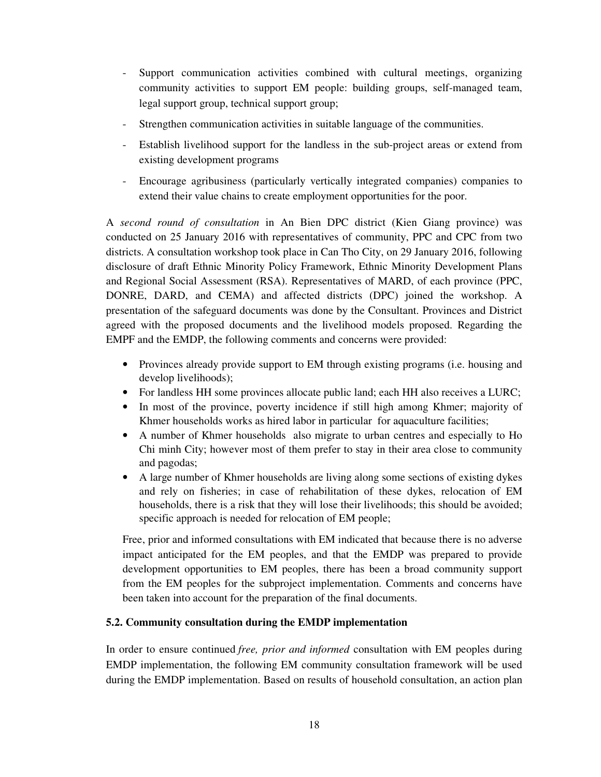- Support communication activities combined with cultural meetings, organizing community activities to support EM people: building groups, self-managed team, legal support group, technical support group;
- Strengthen communication activities in suitable language of the communities.
- Establish livelihood support for the landless in the sub-project areas or extend from existing development programs
- Encourage agribusiness (particularly vertically integrated companies) companies to extend their value chains to create employment opportunities for the poor.

A *second round of consultation* in An Bien DPC district (Kien Giang province) was conducted on 25 January 2016 with representatives of community, PPC and CPC from two districts. A consultation workshop took place in Can Tho City, on 29 January 2016, following disclosure of draft Ethnic Minority Policy Framework, Ethnic Minority Development Plans and Regional Social Assessment (RSA). Representatives of MARD, of each province (PPC, DONRE, DARD, and CEMA) and affected districts (DPC) joined the workshop. A presentation of the safeguard documents was done by the Consultant. Provinces and District agreed with the proposed documents and the livelihood models proposed. Regarding the EMPF and the EMDP, the following comments and concerns were provided:

- Provinces already provide support to EM through existing programs (i.e. housing and develop livelihoods);
- For landless HH some provinces allocate public land; each HH also receives a LURC;
- In most of the province, poverty incidence if still high among Khmer; majority of Khmer households works as hired labor in particular for aquaculture facilities;
- A number of Khmer households also migrate to urban centres and especially to Ho Chi minh City; however most of them prefer to stay in their area close to community and pagodas;
- A large number of Khmer households are living along some sections of existing dykes and rely on fisheries; in case of rehabilitation of these dykes, relocation of EM households, there is a risk that they will lose their livelihoods; this should be avoided; specific approach is needed for relocation of EM people;

Free, prior and informed consultations with EM indicated that because there is no adverse impact anticipated for the EM peoples, and that the EMDP was prepared to provide development opportunities to EM peoples, there has been a broad community support from the EM peoples for the subproject implementation. Comments and concerns have been taken into account for the preparation of the final documents.

# **5.2. Community consultation during the EMDP implementation**

In order to ensure continued *free, prior and informed* consultation with EM peoples during EMDP implementation, the following EM community consultation framework will be used during the EMDP implementation. Based on results of household consultation, an action plan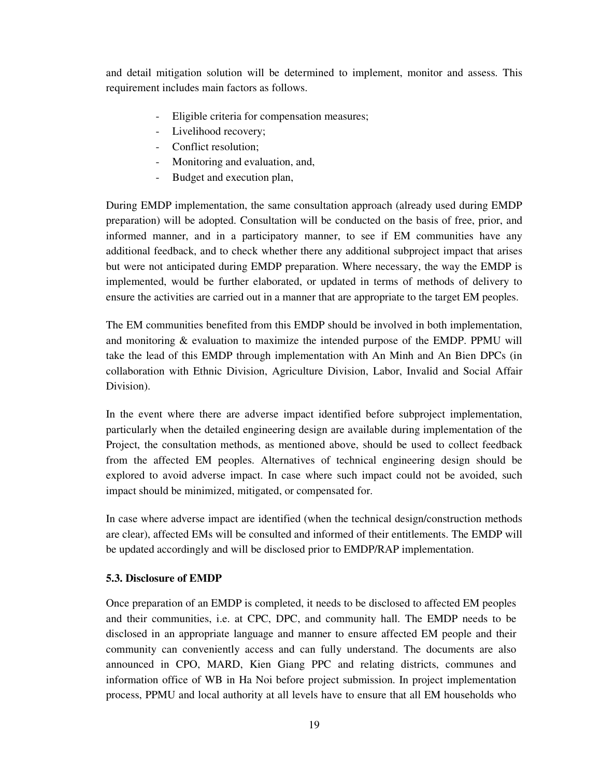and detail mitigation solution will be determined to implement, monitor and assess. This requirement includes main factors as follows.

- Eligible criteria for compensation measures;
- Livelihood recovery;
- Conflict resolution;
- Monitoring and evaluation, and,
- Budget and execution plan,

During EMDP implementation, the same consultation approach (already used during EMDP preparation) will be adopted. Consultation will be conducted on the basis of free, prior, and informed manner, and in a participatory manner, to see if EM communities have any additional feedback, and to check whether there any additional subproject impact that arises but were not anticipated during EMDP preparation. Where necessary, the way the EMDP is implemented, would be further elaborated, or updated in terms of methods of delivery to ensure the activities are carried out in a manner that are appropriate to the target EM peoples.

The EM communities benefited from this EMDP should be involved in both implementation, and monitoring & evaluation to maximize the intended purpose of the EMDP. PPMU will take the lead of this EMDP through implementation with An Minh and An Bien DPCs (in collaboration with Ethnic Division, Agriculture Division, Labor, Invalid and Social Affair Division).

In the event where there are adverse impact identified before subproject implementation, particularly when the detailed engineering design are available during implementation of the Project, the consultation methods, as mentioned above, should be used to collect feedback from the affected EM peoples. Alternatives of technical engineering design should be explored to avoid adverse impact. In case where such impact could not be avoided, such impact should be minimized, mitigated, or compensated for.

In case where adverse impact are identified (when the technical design/construction methods are clear), affected EMs will be consulted and informed of their entitlements. The EMDP will be updated accordingly and will be disclosed prior to EMDP/RAP implementation.

### **5.3. Disclosure of EMDP**

Once preparation of an EMDP is completed, it needs to be disclosed to affected EM peoples and their communities, i.e. at CPC, DPC, and community hall. The EMDP needs to be disclosed in an appropriate language and manner to ensure affected EM people and their community can conveniently access and can fully understand. The documents are also announced in CPO, MARD, Kien Giang PPC and relating districts, communes and information office of WB in Ha Noi before project submission. In project implementation process, PPMU and local authority at all levels have to ensure that all EM households who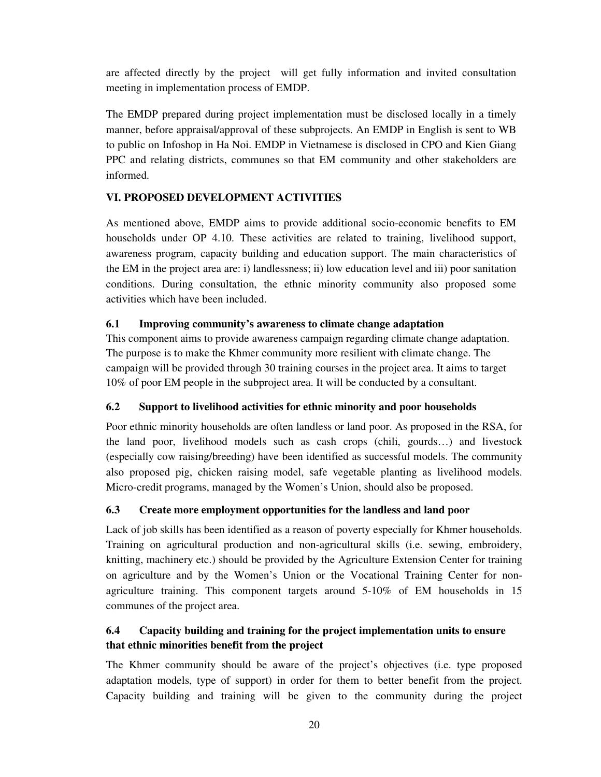are affected directly by the project will get fully information and invited consultation meeting in implementation process of EMDP.

The EMDP prepared during project implementation must be disclosed locally in a timely manner, before appraisal/approval of these subprojects. An EMDP in English is sent to WB to public on Infoshop in Ha Noi. EMDP in Vietnamese is disclosed in CPO and Kien Giang PPC and relating districts, communes so that EM community and other stakeholders are informed.

# **VI. PROPOSED DEVELOPMENT ACTIVITIES**

As mentioned above, EMDP aims to provide additional socio-economic benefits to EM households under OP 4.10. These activities are related to training, livelihood support, awareness program, capacity building and education support. The main characteristics of the EM in the project area are: i) landlessness; ii) low education level and iii) poor sanitation conditions. During consultation, the ethnic minority community also proposed some activities which have been included.

# **6.1 Improving community's awareness to climate change adaptation**

This component aims to provide awareness campaign regarding climate change adaptation. The purpose is to make the Khmer community more resilient with climate change. The campaign will be provided through 30 training courses in the project area. It aims to target 10% of poor EM people in the subproject area. It will be conducted by a consultant.

# **6.2 Support to livelihood activities for ethnic minority and poor households**

Poor ethnic minority households are often landless or land poor. As proposed in the RSA, for the land poor, livelihood models such as cash crops (chili, gourds…) and livestock (especially cow raising/breeding) have been identified as successful models. The community also proposed pig, chicken raising model, safe vegetable planting as livelihood models. Micro-credit programs, managed by the Women's Union, should also be proposed.

# **6.3 Create more employment opportunities for the landless and land poor**

Lack of job skills has been identified as a reason of poverty especially for Khmer households. Training on agricultural production and non-agricultural skills (i.e. sewing, embroidery, knitting, machinery etc.) should be provided by the Agriculture Extension Center for training on agriculture and by the Women's Union or the Vocational Training Center for nonagriculture training. This component targets around 5-10% of EM households in 15 communes of the project area.

# **6.4 Capacity building and training for the project implementation units to ensure that ethnic minorities benefit from the project**

The Khmer community should be aware of the project's objectives (i.e. type proposed adaptation models, type of support) in order for them to better benefit from the project. Capacity building and training will be given to the community during the project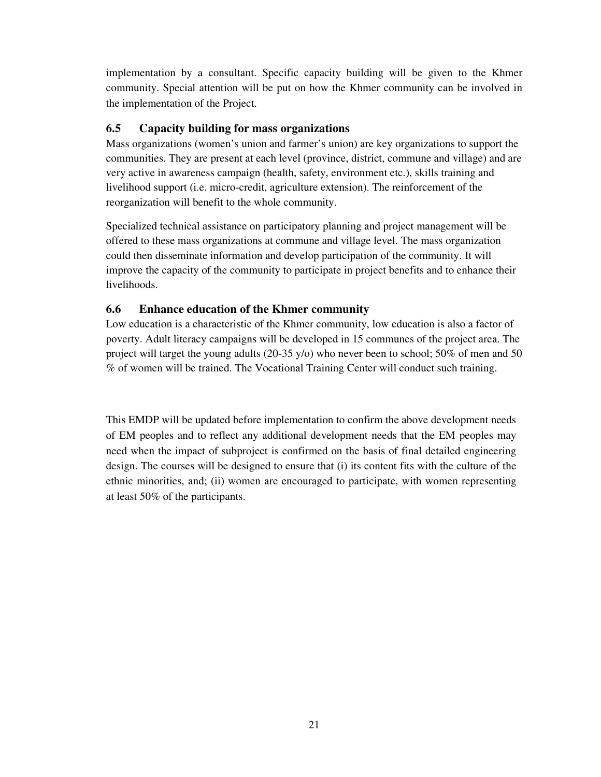implementation by a consultant. Specific capacity building will be given to the Khmer community. Special attention will be put on how the Khmer community can be involved in the implementation of the Project.

# **6.5 Capacity building for mass organizations**

Mass organizations (women's union and farmer's union) are key organizations to support the communities. They are present at each level (province, district, commune and village) and are very active in awareness campaign (health, safety, environment etc.), skills training and livelihood support (i.e. micro-credit, agriculture extension). The reinforcement of the reorganization will benefit to the whole community.

Specialized technical assistance on participatory planning and project management will be offered to these mass organizations at commune and village level. The mass organization could then disseminate information and develop participation of the community. It will improve the capacity of the community to participate in project benefits and to enhance their livelihoods.

# **6.6 Enhance education of the Khmer community**

Low education is a characteristic of the Khmer community, low education is also a factor of poverty. Adult literacy campaigns will be developed in 15 communes of the project area. The project will target the young adults (20-35 y/o) who never been to school; 50% of men and 50 % of women will be trained. The Vocational Training Center will conduct such training.

This EMDP will be updated before implementation to confirm the above development needs of EM peoples and to reflect any additional development needs that the EM peoples may need when the impact of subproject is confirmed on the basis of final detailed engineering design. The courses will be designed to ensure that (i) its content fits with the culture of the ethnic minorities, and; (ii) women are encouraged to participate, with women representing at least 50% of the participants.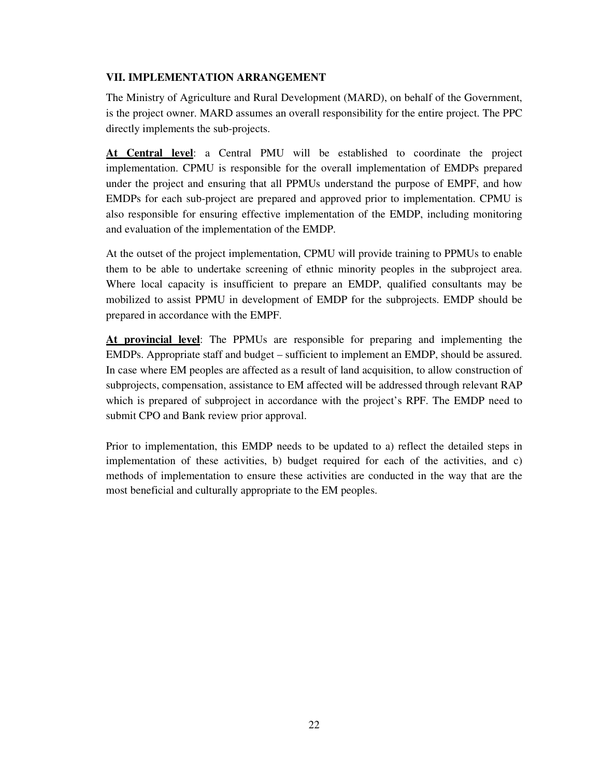## **VII. IMPLEMENTATION ARRANGEMENT**

The Ministry of Agriculture and Rural Development (MARD), on behalf of the Government, is the project owner. MARD assumes an overall responsibility for the entire project. The PPC directly implements the sub-projects.

**At Central level**: a Central PMU will be established to coordinate the project implementation. CPMU is responsible for the overall implementation of EMDPs prepared under the project and ensuring that all PPMUs understand the purpose of EMPF, and how EMDPs for each sub-project are prepared and approved prior to implementation. CPMU is also responsible for ensuring effective implementation of the EMDP, including monitoring and evaluation of the implementation of the EMDP.

At the outset of the project implementation, CPMU will provide training to PPMUs to enable them to be able to undertake screening of ethnic minority peoples in the subproject area. Where local capacity is insufficient to prepare an EMDP, qualified consultants may be mobilized to assist PPMU in development of EMDP for the subprojects. EMDP should be prepared in accordance with the EMPF.

**At provincial level**: The PPMUs are responsible for preparing and implementing the EMDPs. Appropriate staff and budget – sufficient to implement an EMDP, should be assured. In case where EM peoples are affected as a result of land acquisition, to allow construction of subprojects, compensation, assistance to EM affected will be addressed through relevant RAP which is prepared of subproject in accordance with the project's RPF. The EMDP need to submit CPO and Bank review prior approval.

Prior to implementation, this EMDP needs to be updated to a) reflect the detailed steps in implementation of these activities, b) budget required for each of the activities, and c) methods of implementation to ensure these activities are conducted in the way that are the most beneficial and culturally appropriate to the EM peoples.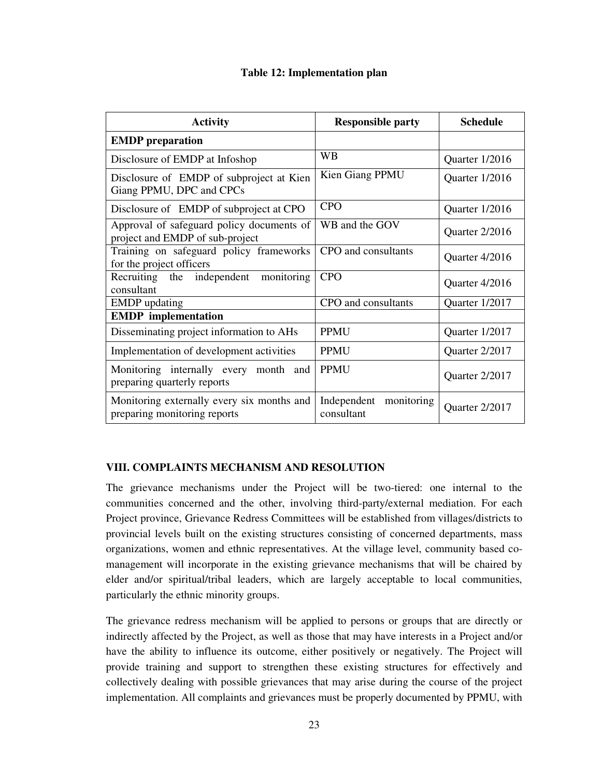# **Table 12: Implementation plan**

| <b>Activity</b>                                                              | <b>Responsible party</b>                | <b>Schedule</b> |
|------------------------------------------------------------------------------|-----------------------------------------|-----------------|
| <b>EMDP</b> preparation                                                      |                                         |                 |
| Disclosure of EMDP at Infoshop                                               | <b>WB</b>                               | Quarter 1/2016  |
| Disclosure of EMDP of subproject at Kien<br>Giang PPMU, DPC and CPCs         | Kien Giang PPMU                         | Quarter 1/2016  |
| Disclosure of EMDP of subproject at CPO                                      | <b>CPO</b>                              | Quarter 1/2016  |
| Approval of safeguard policy documents of<br>project and EMDP of sub-project | WB and the GOV                          | Quarter 2/2016  |
| Training on safeguard policy frameworks<br>for the project officers          | CPO and consultants                     | Quarter 4/2016  |
| monitoring<br>Recruiting the independent<br>consultant                       | <b>CPO</b>                              | Quarter 4/2016  |
| <b>EMDP</b> updating                                                         | CPO and consultants                     | Quarter 1/2017  |
| <b>EMDP</b> implementation                                                   |                                         |                 |
| Disseminating project information to AHs                                     | <b>PPMU</b>                             | Quarter 1/2017  |
| Implementation of development activities                                     | <b>PPMU</b>                             | Quarter 2/2017  |
| Monitoring internally every month and<br>preparing quarterly reports         | <b>PPMU</b>                             | Quarter 2/2017  |
| Monitoring externally every six months and<br>preparing monitoring reports   | Independent<br>monitoring<br>consultant | Quarter 2/2017  |

### **VIII. COMPLAINTS MECHANISM AND RESOLUTION**

The grievance mechanisms under the Project will be two-tiered: one internal to the communities concerned and the other, involving third-party/external mediation. For each Project province, Grievance Redress Committees will be established from villages/districts to provincial levels built on the existing structures consisting of concerned departments, mass organizations, women and ethnic representatives. At the village level, community based comanagement will incorporate in the existing grievance mechanisms that will be chaired by elder and/or spiritual/tribal leaders, which are largely acceptable to local communities, particularly the ethnic minority groups.

The grievance redress mechanism will be applied to persons or groups that are directly or indirectly affected by the Project, as well as those that may have interests in a Project and/or have the ability to influence its outcome, either positively or negatively. The Project will provide training and support to strengthen these existing structures for effectively and collectively dealing with possible grievances that may arise during the course of the project implementation. All complaints and grievances must be properly documented by PPMU, with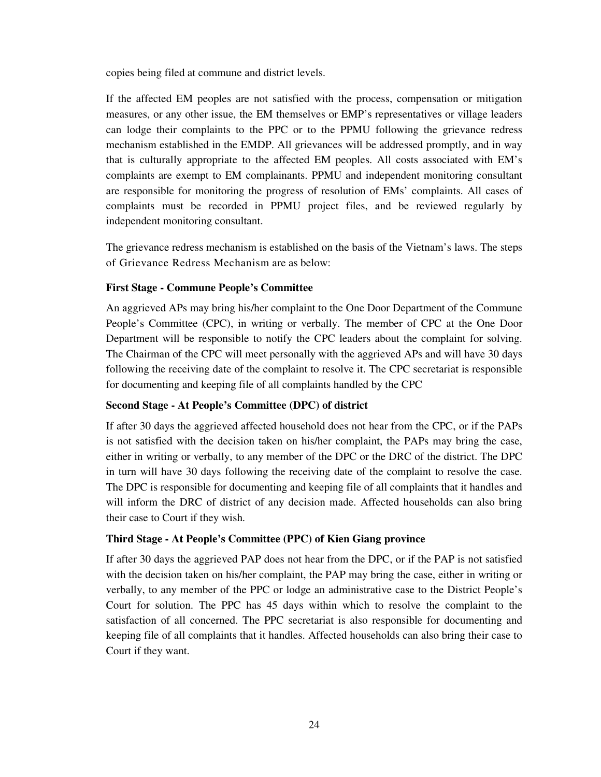copies being filed at commune and district levels.

If the affected EM peoples are not satisfied with the process, compensation or mitigation measures, or any other issue, the EM themselves or EMP's representatives or village leaders can lodge their complaints to the PPC or to the PPMU following the grievance redress mechanism established in the EMDP. All grievances will be addressed promptly, and in way that is culturally appropriate to the affected EM peoples. All costs associated with EM's complaints are exempt to EM complainants. PPMU and independent monitoring consultant are responsible for monitoring the progress of resolution of EMs' complaints. All cases of complaints must be recorded in PPMU project files, and be reviewed regularly by independent monitoring consultant.

The grievance redress mechanism is established on the basis of the Vietnam's laws. The steps of Grievance Redress Mechanism are as below:

# **First Stage - Commune People's Committee**

An aggrieved APs may bring his/her complaint to the One Door Department of the Commune People's Committee (CPC), in writing or verbally. The member of CPC at the One Door Department will be responsible to notify the CPC leaders about the complaint for solving. The Chairman of the CPC will meet personally with the aggrieved APs and will have 30 days following the receiving date of the complaint to resolve it. The CPC secretariat is responsible for documenting and keeping file of all complaints handled by the CPC

### **Second Stage - At People's Committee (DPC) of district**

If after 30 days the aggrieved affected household does not hear from the CPC, or if the PAPs is not satisfied with the decision taken on his/her complaint, the PAPs may bring the case, either in writing or verbally, to any member of the DPC or the DRC of the district. The DPC in turn will have 30 days following the receiving date of the complaint to resolve the case. The DPC is responsible for documenting and keeping file of all complaints that it handles and will inform the DRC of district of any decision made. Affected households can also bring their case to Court if they wish.

### **Third Stage - At People's Committee (PPC) of Kien Giang province**

If after 30 days the aggrieved PAP does not hear from the DPC, or if the PAP is not satisfied with the decision taken on his/her complaint, the PAP may bring the case, either in writing or verbally, to any member of the PPC or lodge an administrative case to the District People's Court for solution. The PPC has 45 days within which to resolve the complaint to the satisfaction of all concerned. The PPC secretariat is also responsible for documenting and keeping file of all complaints that it handles. Affected households can also bring their case to Court if they want.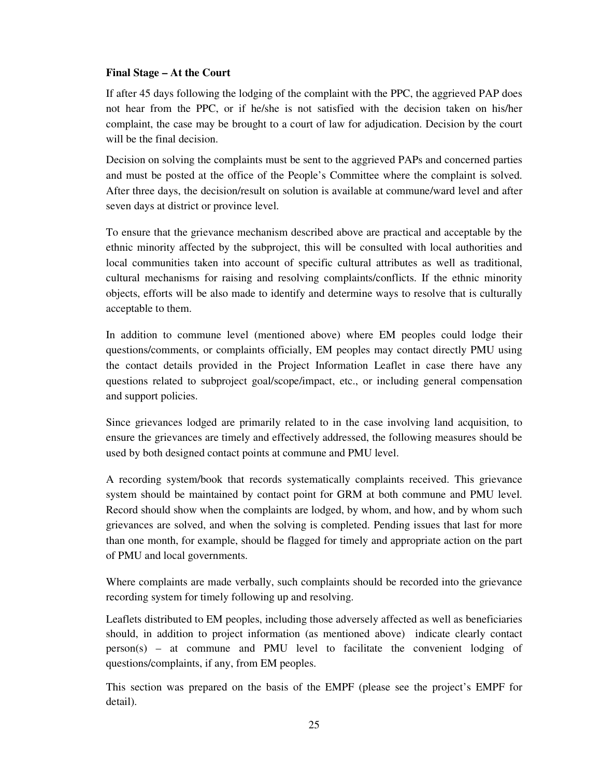# **Final Stage – At the Court**

If after 45 days following the lodging of the complaint with the PPC, the aggrieved PAP does not hear from the PPC, or if he/she is not satisfied with the decision taken on his/her complaint, the case may be brought to a court of law for adjudication. Decision by the court will be the final decision.

Decision on solving the complaints must be sent to the aggrieved PAPs and concerned parties and must be posted at the office of the People's Committee where the complaint is solved. After three days, the decision/result on solution is available at commune/ward level and after seven days at district or province level.

To ensure that the grievance mechanism described above are practical and acceptable by the ethnic minority affected by the subproject, this will be consulted with local authorities and local communities taken into account of specific cultural attributes as well as traditional, cultural mechanisms for raising and resolving complaints/conflicts. If the ethnic minority objects, efforts will be also made to identify and determine ways to resolve that is culturally acceptable to them.

In addition to commune level (mentioned above) where EM peoples could lodge their questions/comments, or complaints officially, EM peoples may contact directly PMU using the contact details provided in the Project Information Leaflet in case there have any questions related to subproject goal/scope/impact, etc., or including general compensation and support policies.

Since grievances lodged are primarily related to in the case involving land acquisition, to ensure the grievances are timely and effectively addressed, the following measures should be used by both designed contact points at commune and PMU level.

A recording system/book that records systematically complaints received. This grievance system should be maintained by contact point for GRM at both commune and PMU level. Record should show when the complaints are lodged, by whom, and how, and by whom such grievances are solved, and when the solving is completed. Pending issues that last for more than one month, for example, should be flagged for timely and appropriate action on the part of PMU and local governments.

Where complaints are made verbally, such complaints should be recorded into the grievance recording system for timely following up and resolving.

Leaflets distributed to EM peoples, including those adversely affected as well as beneficiaries should, in addition to project information (as mentioned above) indicate clearly contact person(s) – at commune and PMU level to facilitate the convenient lodging of questions/complaints, if any, from EM peoples.

This section was prepared on the basis of the EMPF (please see the project's EMPF for detail).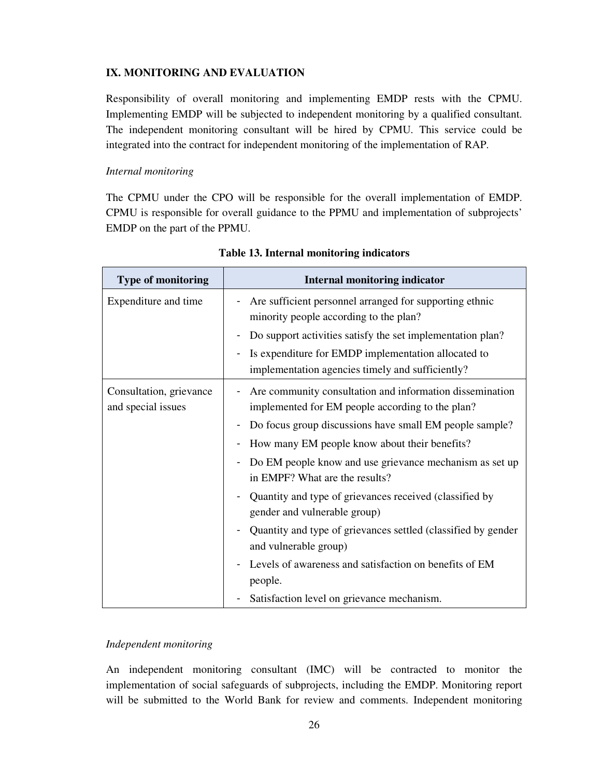# **IX. MONITORING AND EVALUATION**

Responsibility of overall monitoring and implementing EMDP rests with the CPMU. Implementing EMDP will be subjected to independent monitoring by a qualified consultant. The independent monitoring consultant will be hired by CPMU. This service could be integrated into the contract for independent monitoring of the implementation of RAP.

# *Internal monitoring*

The CPMU under the CPO will be responsible for the overall implementation of EMDP. CPMU is responsible for overall guidance to the PPMU and implementation of subprojects' EMDP on the part of the PPMU.

| <b>Type of monitoring</b>                     | <b>Internal monitoring indicator</b>                                                                         |
|-----------------------------------------------|--------------------------------------------------------------------------------------------------------------|
| Expenditure and time                          | Are sufficient personnel arranged for supporting ethnic<br>minority people according to the plan?            |
|                                               | Do support activities satisfy the set implementation plan?                                                   |
|                                               | Is expenditure for EMDP implementation allocated to<br>implementation agencies timely and sufficiently?      |
| Consultation, grievance<br>and special issues | Are community consultation and information dissemination<br>implemented for EM people according to the plan? |
|                                               | Do focus group discussions have small EM people sample?                                                      |
|                                               | How many EM people know about their benefits?                                                                |
|                                               | Do EM people know and use grievance mechanism as set up<br>in EMPF? What are the results?                    |
|                                               | Quantity and type of grievances received (classified by<br>gender and vulnerable group)                      |
|                                               | Quantity and type of grievances settled (classified by gender<br>and vulnerable group)                       |
|                                               | Levels of awareness and satisfaction on benefits of EM                                                       |
|                                               | people.                                                                                                      |
|                                               | Satisfaction level on grievance mechanism.                                                                   |

# **Table 13. Internal monitoring indicators**

### *Independent monitoring*

An independent monitoring consultant (IMC) will be contracted to monitor the implementation of social safeguards of subprojects, including the EMDP. Monitoring report will be submitted to the World Bank for review and comments. Independent monitoring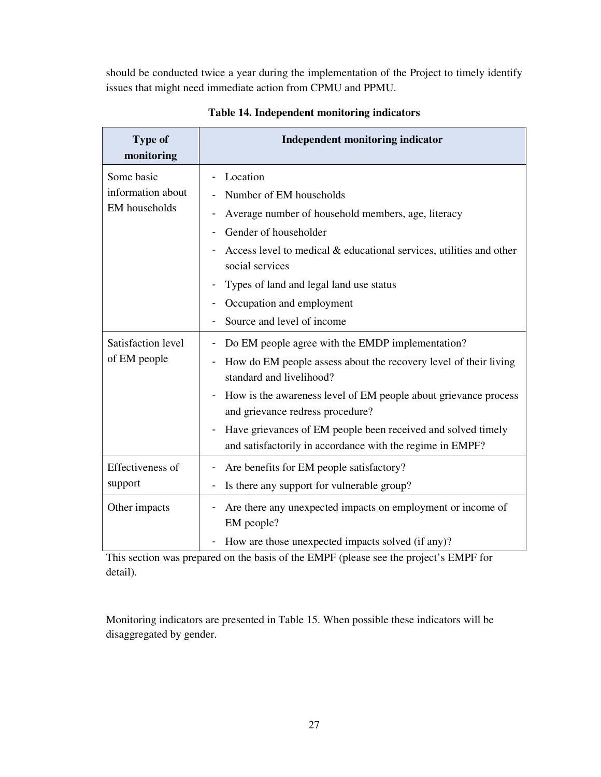should be conducted twice a year during the implementation of the Project to timely identify issues that might need immediate action from CPMU and PPMU.

| <b>Type of</b><br>monitoring                     | <b>Independent monitoring indicator</b>                                                                                                                                                                                                                                                                                                                                                                              |
|--------------------------------------------------|----------------------------------------------------------------------------------------------------------------------------------------------------------------------------------------------------------------------------------------------------------------------------------------------------------------------------------------------------------------------------------------------------------------------|
| Some basic<br>information about<br>EM households | Location<br>Number of EM households<br>Average number of household members, age, literacy<br>Gender of householder<br>Access level to medical & educational services, utilities and other<br>social services<br>Types of land and legal land use status                                                                                                                                                              |
|                                                  | Occupation and employment<br>Source and level of income                                                                                                                                                                                                                                                                                                                                                              |
| Satisfaction level<br>of EM people               | Do EM people agree with the EMDP implementation?<br>How do EM people assess about the recovery level of their living<br>standard and livelihood?<br>How is the awareness level of EM people about grievance process<br>$\qquad \qquad \blacksquare$<br>and grievance redress procedure?<br>Have grievances of EM people been received and solved timely<br>and satisfactorily in accordance with the regime in EMPF? |
| Effectiveness of<br>support                      | Are benefits for EM people satisfactory?<br>Is there any support for vulnerable group?                                                                                                                                                                                                                                                                                                                               |
| Other impacts                                    | Are there any unexpected impacts on employment or income of<br>EM people?<br>How are those unexpected impacts solved (if any)?                                                                                                                                                                                                                                                                                       |

**Table 14. Independent monitoring indicators**

This section was prepared on the basis of the EMPF (please see the project's EMPF for detail).

Monitoring indicators are presented in Table 15. When possible these indicators will be disaggregated by gender.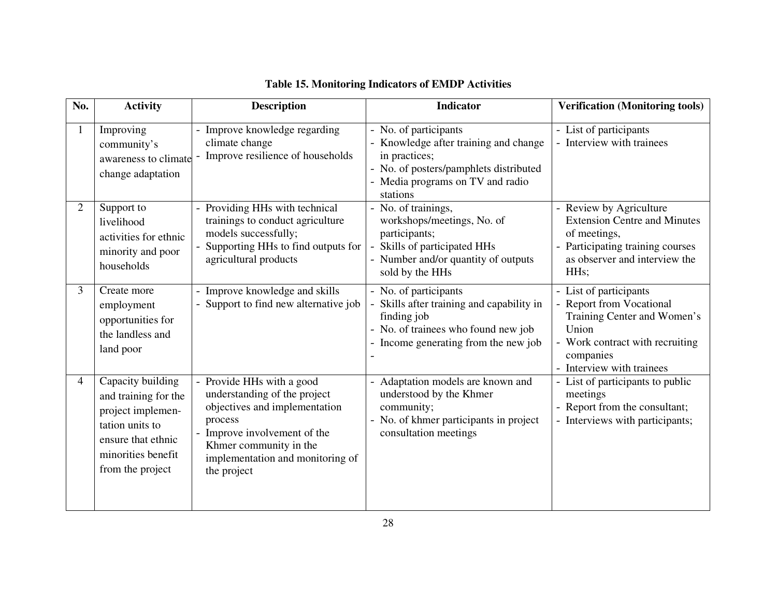| No.            | <b>Activity</b>                                                                                                                                   | <b>Description</b>                                                                                                                                                                                               | <b>Indicator</b>                                                                                                                                                          | <b>Verification (Monitoring tools)</b>                                                                                                                                     |
|----------------|---------------------------------------------------------------------------------------------------------------------------------------------------|------------------------------------------------------------------------------------------------------------------------------------------------------------------------------------------------------------------|---------------------------------------------------------------------------------------------------------------------------------------------------------------------------|----------------------------------------------------------------------------------------------------------------------------------------------------------------------------|
| $\mathbf{1}$   | Improving<br>community's<br>awareness to climate<br>change adaptation                                                                             | - Improve knowledge regarding<br>climate change<br>Improve resilience of households                                                                                                                              | - No. of participants<br>- Knowledge after training and change<br>in practices;<br>- No. of posters/pamphlets distributed<br>- Media programs on TV and radio<br>stations | - List of participants<br>Interview with trainees                                                                                                                          |
| $\overline{2}$ | Support to<br>livelihood<br>activities for ethnic<br>minority and poor<br>households                                                              | Providing HHs with technical<br>trainings to conduct agriculture<br>models successfully;<br>Supporting HHs to find outputs for<br>agricultural products                                                          | - No. of trainings,<br>workshops/meetings, No. of<br>participants;<br>Skills of participated HHs<br>- Number and/or quantity of outputs<br>sold by the HHs                | - Review by Agriculture<br><b>Extension Centre and Minutes</b><br>of meetings,<br>Participating training courses<br>as observer and interview the<br>HH <sub>s</sub> ;     |
| 3              | Create more<br>employment<br>opportunities for<br>the landless and<br>land poor                                                                   | - Improve knowledge and skills<br>Support to find new alternative job                                                                                                                                            | - No. of participants<br>Skills after training and capability in<br>finding job<br>- No. of trainees who found new job<br>- Income generating from the new job            | List of participants<br><b>Report from Vocational</b><br>Training Center and Women's<br>Union<br>- Work contract with recruiting<br>companies<br>- Interview with trainees |
| 4              | Capacity building<br>and training for the<br>project implemen-<br>tation units to<br>ensure that ethnic<br>minorities benefit<br>from the project | - Provide HHs with a good<br>understanding of the project<br>objectives and implementation<br>process<br>Improve involvement of the<br>Khmer community in the<br>implementation and monitoring of<br>the project | Adaptation models are known and<br>understood by the Khmer<br>community;<br>- No. of khmer participants in project<br>consultation meetings                               | $\overline{\phantom{a}}$ - List of participants to public<br>meetings<br>- Report from the consultant;<br>Interviews with participants;                                    |

# **Table 15. Monitoring Indicators of EMDP Activities**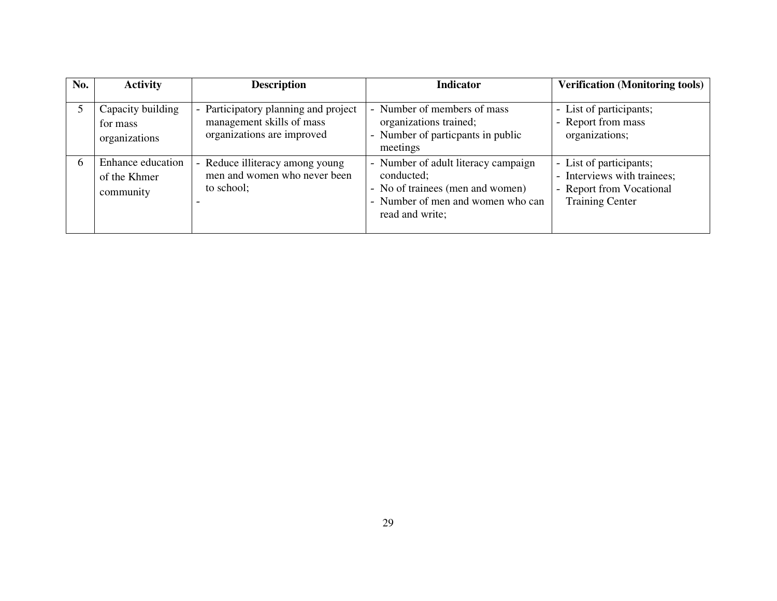| No. | <b>Activity</b>                                | <b>Description</b>                                                                                                        | <b>Indicator</b>                                                                                                                              | <b>Verification (Monitoring tools)</b>                                                                       |
|-----|------------------------------------------------|---------------------------------------------------------------------------------------------------------------------------|-----------------------------------------------------------------------------------------------------------------------------------------------|--------------------------------------------------------------------------------------------------------------|
|     | Capacity building<br>for mass<br>organizations | Participatory planning and project<br>$\overline{\phantom{0}}$<br>management skills of mass<br>organizations are improved | - Number of members of mass<br>organizations trained;<br>- Number of particpants in public<br>meetings                                        | - List of participants;<br>- Report from mass<br>organizations;                                              |
| 6   | Enhance education<br>of the Khmer<br>community | Reduce illiteracy among young<br>$\sim$<br>men and women who never been<br>to school;                                     | - Number of adult literacy campaign<br>conducted;<br>- No of trainees (men and women)<br>- Number of men and women who can<br>read and write; | - List of participants;<br>- Interviews with trainees;<br>- Report from Vocational<br><b>Training Center</b> |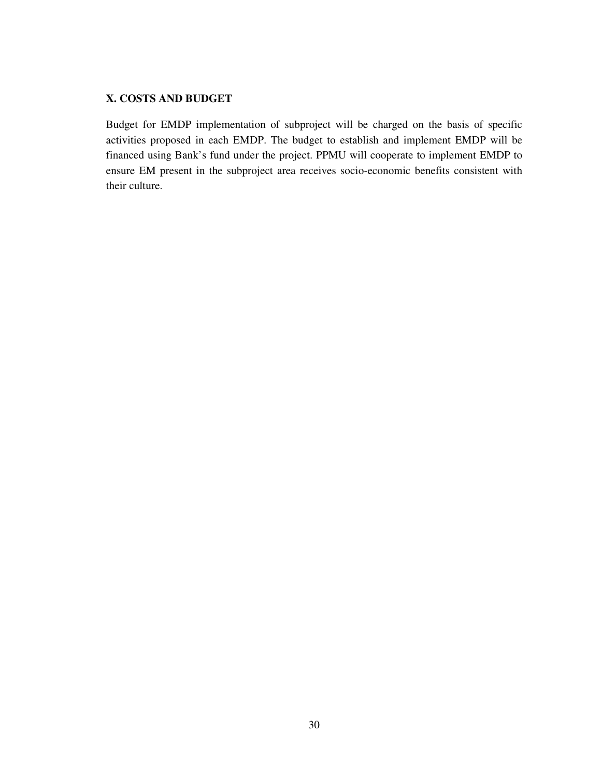# **X. COSTS AND BUDGET**

Budget for EMDP implementation of subproject will be charged on the basis of specific activities proposed in each EMDP. The budget to establish and implement EMDP will be financed using Bank's fund under the project. PPMU will cooperate to implement EMDP to ensure EM present in the subproject area receives socio-economic benefits consistent with their culture.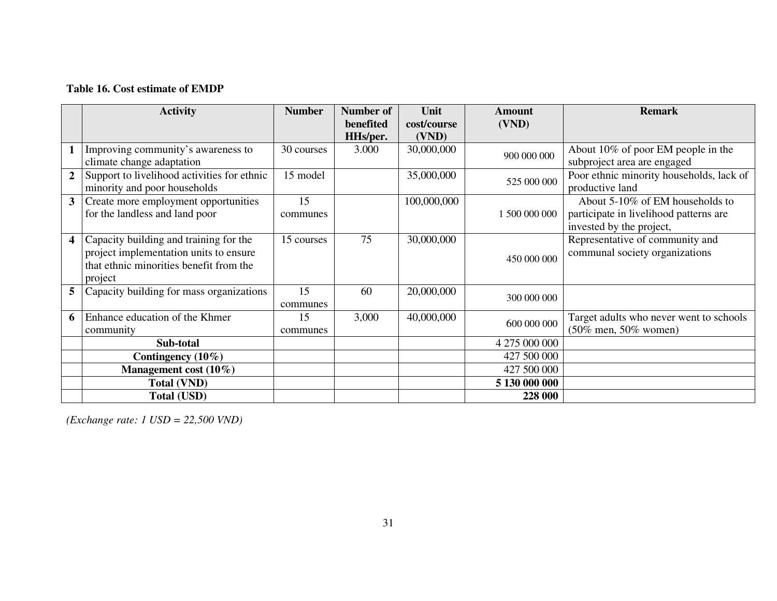# **Table 16. Cost estimate of EMDP**

|              | <b>Activity</b>                                                                                                                        | <b>Number</b>  | Number of             | Unit                 | Amount        | <b>Remark</b>                                                                                         |
|--------------|----------------------------------------------------------------------------------------------------------------------------------------|----------------|-----------------------|----------------------|---------------|-------------------------------------------------------------------------------------------------------|
|              |                                                                                                                                        |                | benefited<br>HHs/per. | cost/course<br>(VND) | (VND)         |                                                                                                       |
| 1            | Improving community's awareness to<br>climate change adaptation                                                                        | 30 courses     | 3.000                 | 30,000,000           | 900 000 000   | About 10% of poor EM people in the<br>subproject area are engaged                                     |
| $\mathbf{2}$ | Support to livelihood activities for ethnic<br>minority and poor households                                                            | 15 model       |                       | 35,000,000           | 525 000 000   | Poor ethnic minority households, lack of<br>productive land                                           |
| 3            | Create more employment opportunities<br>for the landless and land poor                                                                 | 15<br>communes |                       | 100,000,000          | 1 500 000 000 | About 5-10% of EM households to<br>participate in livelihood patterns are<br>invested by the project, |
| 4            | Capacity building and training for the<br>project implementation units to ensure<br>that ethnic minorities benefit from the<br>project | 15 courses     | 75                    | 30,000,000           | 450 000 000   | Representative of community and<br>communal society organizations                                     |
| 5            | Capacity building for mass organizations                                                                                               | 15<br>communes | 60                    | 20,000,000           | 300 000 000   |                                                                                                       |
| 6            | Enhance education of the Khmer<br>community                                                                                            | 15<br>communes | 3,000                 | 40,000,000           | 600 000 000   | Target adults who never went to schools<br>$(50\% \text{ men}, 50\% \text{ women})$                   |
|              | Sub-total                                                                                                                              |                |                       |                      | 4 275 000 000 |                                                                                                       |
|              | Contingency $(10\%)$                                                                                                                   |                |                       |                      | 427 500 000   |                                                                                                       |
|              | Management cost $(10\%)$                                                                                                               |                |                       |                      | 427 500 000   |                                                                                                       |
|              | <b>Total (VND)</b>                                                                                                                     |                |                       |                      | 5 130 000 000 |                                                                                                       |
|              | Total (USD)                                                                                                                            |                |                       |                      | 228 000       |                                                                                                       |

*(Exchange rate: 1 USD = 22,500 VND)*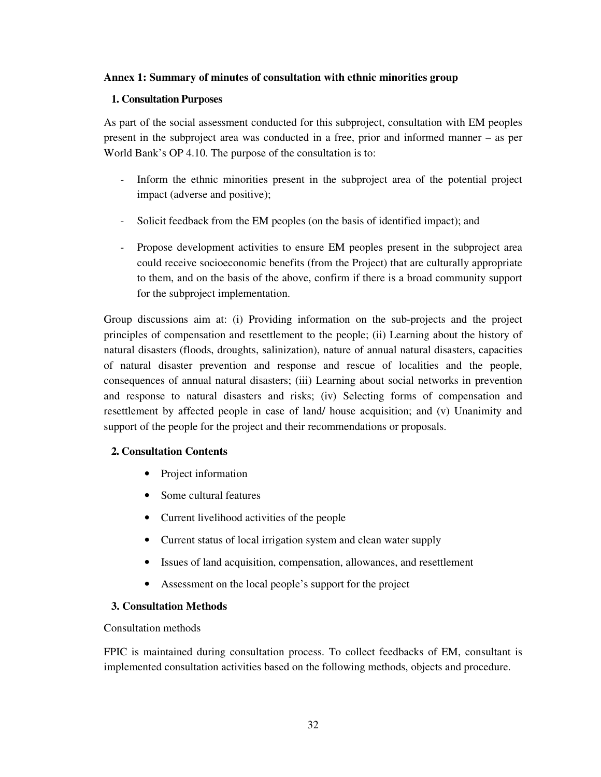### **Annex 1: Summary of minutes of consultation with ethnic minorities group**

#### **1. Consultation Purposes**

As part of the social assessment conducted for this subproject, consultation with EM peoples present in the subproject area was conducted in a free, prior and informed manner – as per World Bank's OP 4.10. The purpose of the consultation is to:

- Inform the ethnic minorities present in the subproject area of the potential project impact (adverse and positive);
- Solicit feedback from the EM peoples (on the basis of identified impact); and
- Propose development activities to ensure EM peoples present in the subproject area could receive socioeconomic benefits (from the Project) that are culturally appropriate to them, and on the basis of the above, confirm if there is a broad community support for the subproject implementation.

Group discussions aim at: (i) Providing information on the sub-projects and the project principles of compensation and resettlement to the people; (ii) Learning about the history of natural disasters (floods, droughts, salinization), nature of annual natural disasters, capacities of natural disaster prevention and response and rescue of localities and the people, consequences of annual natural disasters; (iii) Learning about social networks in prevention and response to natural disasters and risks; (iv) Selecting forms of compensation and resettlement by affected people in case of land/ house acquisition; and (v) Unanimity and support of the people for the project and their recommendations or proposals.

### **2. Consultation Contents**

- Project information
- Some cultural features
- Current livelihood activities of the people
- Current status of local irrigation system and clean water supply
- Issues of land acquisition, compensation, allowances, and resettlement
- Assessment on the local people's support for the project

### **3. Consultation Methods**

Consultation methods

FPIC is maintained during consultation process. To collect feedbacks of EM, consultant is implemented consultation activities based on the following methods, objects and procedure.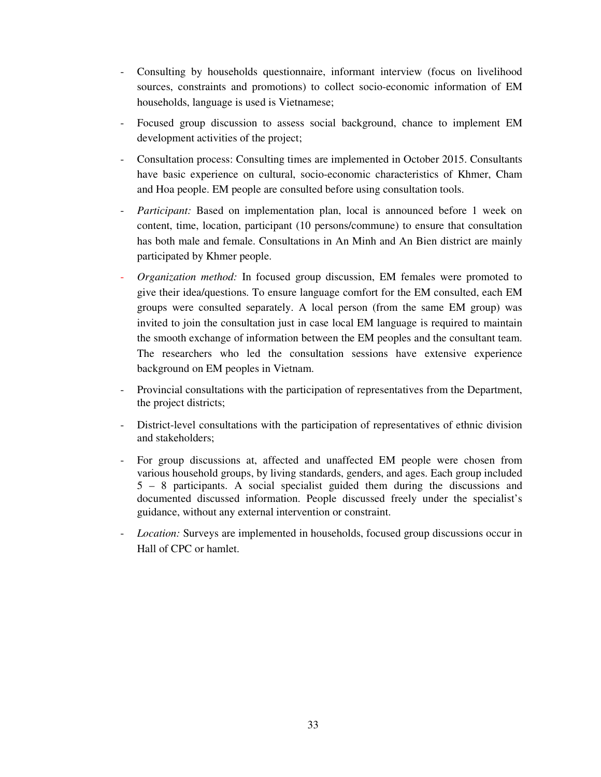- Consulting by households questionnaire, informant interview (focus on livelihood sources, constraints and promotions) to collect socio-economic information of EM households, language is used is Vietnamese;
- Focused group discussion to assess social background, chance to implement EM development activities of the project;
- Consultation process: Consulting times are implemented in October 2015. Consultants have basic experience on cultural, socio-economic characteristics of Khmer, Cham and Hoa people. EM people are consulted before using consultation tools.
- *Participant:* Based on implementation plan, local is announced before 1 week on content, time, location, participant (10 persons/commune) to ensure that consultation has both male and female. Consultations in An Minh and An Bien district are mainly participated by Khmer people.
- *Organization method:* In focused group discussion, EM females were promoted to give their idea/questions. To ensure language comfort for the EM consulted, each EM groups were consulted separately. A local person (from the same EM group) was invited to join the consultation just in case local EM language is required to maintain the smooth exchange of information between the EM peoples and the consultant team. The researchers who led the consultation sessions have extensive experience background on EM peoples in Vietnam.
- Provincial consultations with the participation of representatives from the Department, the project districts;
- District-level consultations with the participation of representatives of ethnic division and stakeholders;
- For group discussions at, affected and unaffected EM people were chosen from various household groups, by living standards, genders, and ages. Each group included 5 – 8 participants. A social specialist guided them during the discussions and documented discussed information. People discussed freely under the specialist's guidance, without any external intervention or constraint.
- *Location:* Surveys are implemented in households, focused group discussions occur in Hall of CPC or hamlet.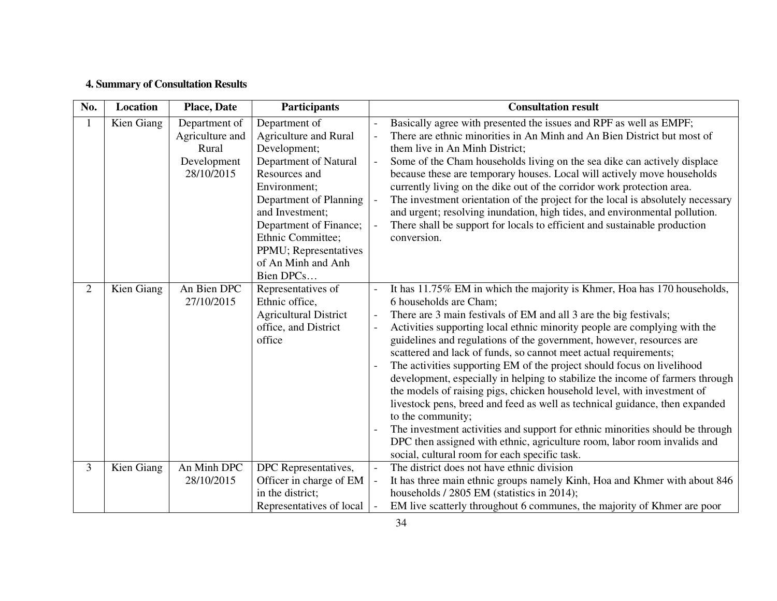# **4. Summary of Consultation Results**

| No.            | Location   | <b>Place, Date</b>                                                     | <b>Participants</b>                                                                                                                                                                                                                                                             | <b>Consultation result</b>                                                                                                                                                                                                                                                                                                                                                                                                                                                                                                                                                                                                                                                                                                                                                                                                                                                                                                                               |
|----------------|------------|------------------------------------------------------------------------|---------------------------------------------------------------------------------------------------------------------------------------------------------------------------------------------------------------------------------------------------------------------------------|----------------------------------------------------------------------------------------------------------------------------------------------------------------------------------------------------------------------------------------------------------------------------------------------------------------------------------------------------------------------------------------------------------------------------------------------------------------------------------------------------------------------------------------------------------------------------------------------------------------------------------------------------------------------------------------------------------------------------------------------------------------------------------------------------------------------------------------------------------------------------------------------------------------------------------------------------------|
| 1              | Kien Giang | Department of<br>Agriculture and<br>Rural<br>Development<br>28/10/2015 | Department of<br><b>Agriculture and Rural</b><br>Development;<br>Department of Natural<br>Resources and<br>Environment;<br>Department of Planning<br>and Investment:<br>Department of Finance;<br>Ethnic Committee;<br>PPMU; Representatives<br>of An Minh and Anh<br>Bien DPCs | Basically agree with presented the issues and RPF as well as EMPF;<br>There are ethnic minorities in An Minh and An Bien District but most of<br>them live in An Minh District;<br>Some of the Cham households living on the sea dike can actively displace<br>$\overline{\phantom{a}}$<br>because these are temporary houses. Local will actively move households<br>currently living on the dike out of the corridor work protection area.<br>The investment orientation of the project for the local is absolutely necessary<br>$\overline{\phantom{0}}$<br>and urgent; resolving inundation, high tides, and environmental pollution.<br>There shall be support for locals to efficient and sustainable production<br>conversion.                                                                                                                                                                                                                    |
| 2              | Kien Giang | An Bien DPC<br>27/10/2015                                              | Representatives of<br>Ethnic office,<br><b>Agricultural District</b><br>office, and District<br>office                                                                                                                                                                          | It has 11.75% EM in which the majority is Khmer, Hoa has 170 households,<br>6 households are Cham;<br>There are 3 main festivals of EM and all 3 are the big festivals;<br>Activities supporting local ethnic minority people are complying with the<br>guidelines and regulations of the government, however, resources are<br>scattered and lack of funds, so cannot meet actual requirements;<br>The activities supporting EM of the project should focus on livelihood<br>development, especially in helping to stabilize the income of farmers through<br>the models of raising pigs, chicken household level, with investment of<br>livestock pens, breed and feed as well as technical guidance, then expanded<br>to the community;<br>The investment activities and support for ethnic minorities should be through<br>DPC then assigned with ethnic, agriculture room, labor room invalids and<br>social, cultural room for each specific task. |
| $\overline{3}$ | Kien Giang | An Minh DPC<br>28/10/2015                                              | DPC Representatives,<br>Officer in charge of EM<br>in the district;<br>Representatives of local                                                                                                                                                                                 | The district does not have ethnic division<br>$\overline{a}$<br>It has three main ethnic groups namely Kinh, Hoa and Khmer with about 846<br>households / 2805 EM (statistics in 2014);<br>EM live scatterly throughout 6 communes, the majority of Khmer are poor                                                                                                                                                                                                                                                                                                                                                                                                                                                                                                                                                                                                                                                                                       |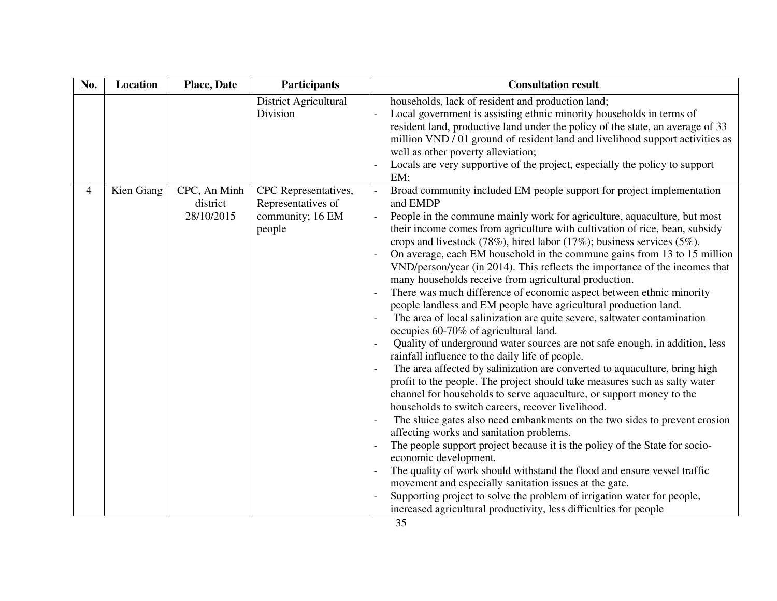| No. | Location   | <b>Place, Date</b>                     | <b>Participants</b>                                                      | <b>Consultation result</b>                                                                                                                                                                                                                                                                                                                                                                                                                                                                                                                                                                                                                                                                                                                                                                                                                                                                                                                                                                                                                                                                                                                                                                                                                                                                                                                                                                                                                                                                                                                                                                                                                                                                                                                                                |
|-----|------------|----------------------------------------|--------------------------------------------------------------------------|---------------------------------------------------------------------------------------------------------------------------------------------------------------------------------------------------------------------------------------------------------------------------------------------------------------------------------------------------------------------------------------------------------------------------------------------------------------------------------------------------------------------------------------------------------------------------------------------------------------------------------------------------------------------------------------------------------------------------------------------------------------------------------------------------------------------------------------------------------------------------------------------------------------------------------------------------------------------------------------------------------------------------------------------------------------------------------------------------------------------------------------------------------------------------------------------------------------------------------------------------------------------------------------------------------------------------------------------------------------------------------------------------------------------------------------------------------------------------------------------------------------------------------------------------------------------------------------------------------------------------------------------------------------------------------------------------------------------------------------------------------------------------|
|     |            |                                        | <b>District Agricultural</b><br>Division                                 | households, lack of resident and production land;<br>Local government is assisting ethnic minority households in terms of<br>resident land, productive land under the policy of the state, an average of 33<br>million VND / 01 ground of resident land and livelihood support activities as<br>well as other poverty alleviation;<br>Locals are very supportive of the project, especially the policy to support<br>EM;                                                                                                                                                                                                                                                                                                                                                                                                                                                                                                                                                                                                                                                                                                                                                                                                                                                                                                                                                                                                                                                                                                                                                                                                                                                                                                                                                  |
| 4   | Kien Giang | CPC, An Minh<br>district<br>28/10/2015 | CPC Representatives,<br>Representatives of<br>community; 16 EM<br>people | Broad community included EM people support for project implementation<br>$\equiv$<br>and EMDP<br>People in the commune mainly work for agriculture, aquaculture, but most<br>their income comes from agriculture with cultivation of rice, bean, subsidy<br>crops and livestock (78%), hired labor (17%); business services (5%).<br>On average, each EM household in the commune gains from 13 to 15 million<br>VND/person/year (in 2014). This reflects the importance of the incomes that<br>many households receive from agricultural production.<br>There was much difference of economic aspect between ethnic minority<br>people landless and EM people have agricultural production land.<br>The area of local salinization are quite severe, saltwater contamination<br>occupies 60-70% of agricultural land.<br>Quality of underground water sources are not safe enough, in addition, less<br>rainfall influence to the daily life of people.<br>The area affected by salinization are converted to aquaculture, bring high<br>profit to the people. The project should take measures such as salty water<br>channel for households to serve aquaculture, or support money to the<br>households to switch careers, recover livelihood.<br>The sluice gates also need embankments on the two sides to prevent erosion<br>affecting works and sanitation problems.<br>The people support project because it is the policy of the State for socio-<br>economic development.<br>The quality of work should withstand the flood and ensure vessel traffic<br>movement and especially sanitation issues at the gate.<br>Supporting project to solve the problem of irrigation water for people,<br>increased agricultural productivity, less difficulties for people |